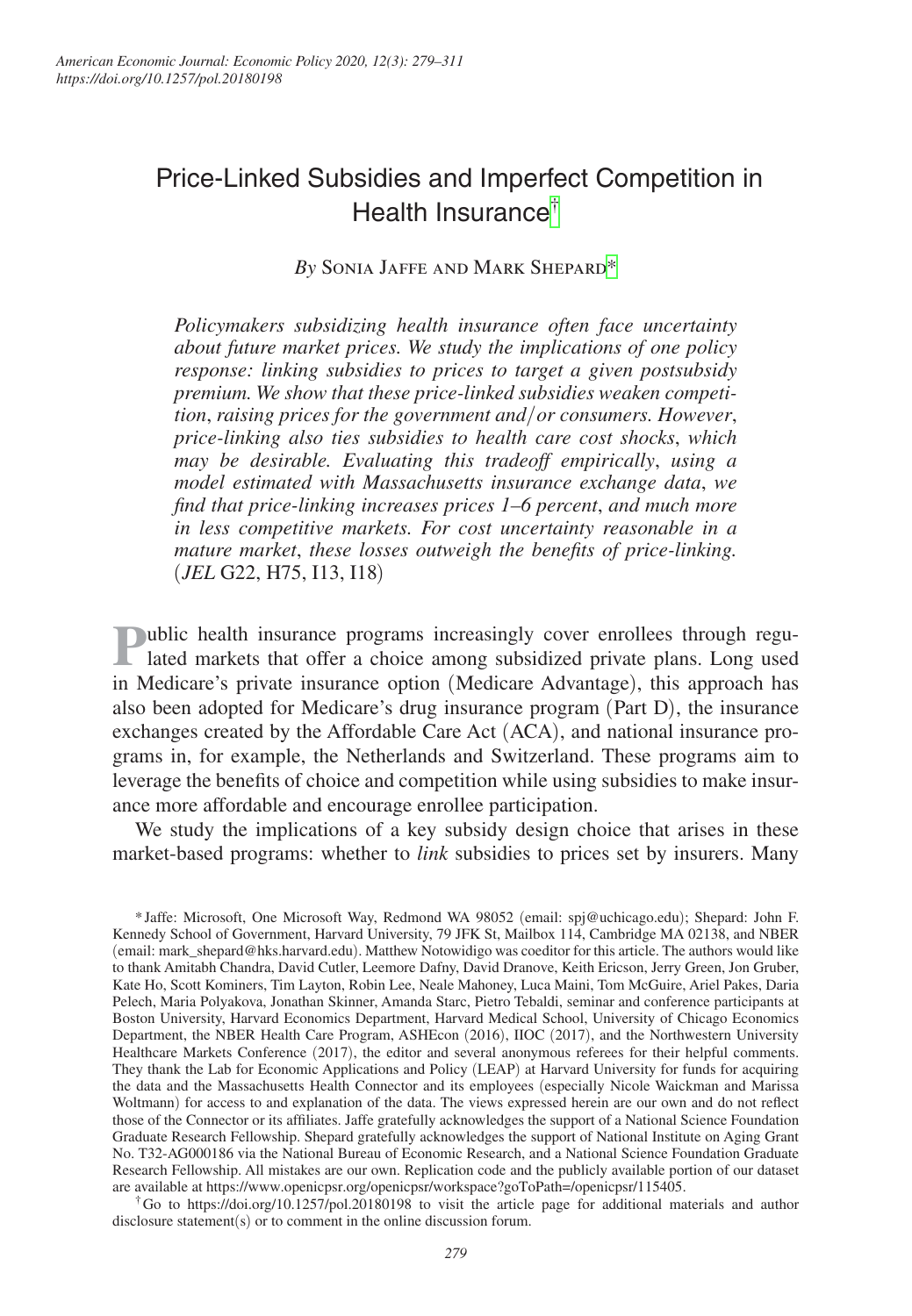# Price-Linked Subsidies and Imperfect Competition in Health Insurance[†](#page-0-0)

## *By* Sonia Jaffe and Mark Shepar[d\\*](#page-0-1)

*Policymakers subsidizing health insurance often face uncertainty about future market prices. We study the implications of one policy response: linking subsidies to prices to target a given postsubsidy premium. We show that these price-linked subsidies weaken competition*, *raising prices for the government and*/*or consumers. However*, *price-linking also ties subsidies to health care cost shocks*, *which may be desirable. Evaluating this tradeoff empirically*, *using a model estimated with Massachusetts insurance exchange data*, *we find that price-linking increases prices 1–6 percent*, *and much more in less competitive markets. For cost uncertainty reasonable in a mature market*, *these losses outweigh the benefits of price-linking.*  (*JEL* G22, H75, I13, I18)

**Public health insurance programs increasingly cover enrollees through regulated markets that offer a choice among subsidized private plans. Long used** in Medicare's private insurance option (Medicare Advantage), this approach has also been adopted for Medicare's drug insurance program (Part D), the insurance exchanges created by the Affordable Care Act (ACA), and national insurance programs in, for example, the Netherlands and Switzerland. These programs aim to leverage the benefits of choice and competition while using subsidies to make insurance more affordable and encourage enrollee participation.

We study the implications of a key subsidy design choice that arises in these market-based programs: whether to *link* subsidies to prices set by insurers. Many

<span id="page-0-1"></span>\*Jaffe: Microsoft, One Microsoft Way, Redmond WA 98052 (email: [spj@uchicago.edu](mailto:spj@uchicago.edu)); Shepard: John F. Kennedy School of Government, Harvard University, 79 JFK St, Mailbox 114, Cambridge MA 02138, and NBER (email: [mark\\_shepard@hks.harvard.edu](mailto:mark_shepard@hks.harvard.edu)). Matthew Notowidigo was coeditor for this article. The authors would like to thank Amitabh Chandra, David Cutler, Leemore Dafny, David Dranove, Keith Ericson, Jerry Green, Jon Gruber, Kate Ho, Scott Kominers, Tim Layton, Robin Lee, Neale Mahoney, Luca Maini, Tom McGuire, Ariel Pakes, Daria Pelech, Maria Polyakova, Jonathan Skinner, Amanda Starc, Pietro Tebaldi, seminar and conference participants at Boston University, Harvard Economics Department, Harvard Medical School, University of Chicago Economics Department, the NBER Health Care Program, ASHEcon (2016), IIOC (2017), and the Northwestern University Healthcare Markets Conference (2017), the editor and several anonymous referees for their helpful comments. They thank the Lab for Economic Applications and Policy (LEAP) at Harvard University for funds for acquiring the data and the Massachusetts Health Connector and its employees (especially Nicole Waickman and Marissa Woltmann) for access to and explanation of the data. The views expressed herein are our own and do not reflect those of the Connector or its affiliates. Jaffe gratefully acknowledges the support of a National Science Foundation Graduate Research Fellowship. Shepard gratefully acknowledges the support of National Institute on Aging Grant No. T32-AG000186 via the National Bureau of Economic Research, and a National Science Foundation Graduate Research Fellowship. All mistakes are our own. Replication code and the publicly available portion of our dataset are available at [https://www.openicpsr.org/openicpsr/workspace?goToPath=/openicpsr/115405.](https://www.openicpsr.org/openicpsr/workspace?goToPath=/openicpsr/115405)

<span id="page-0-0"></span> $\text{ }^{\dagger}$ Go to <https://doi.org/10.1257/pol.20180198>to visit the article page for additional materials and author disclosure statement(s) or to comment in the online discussion forum.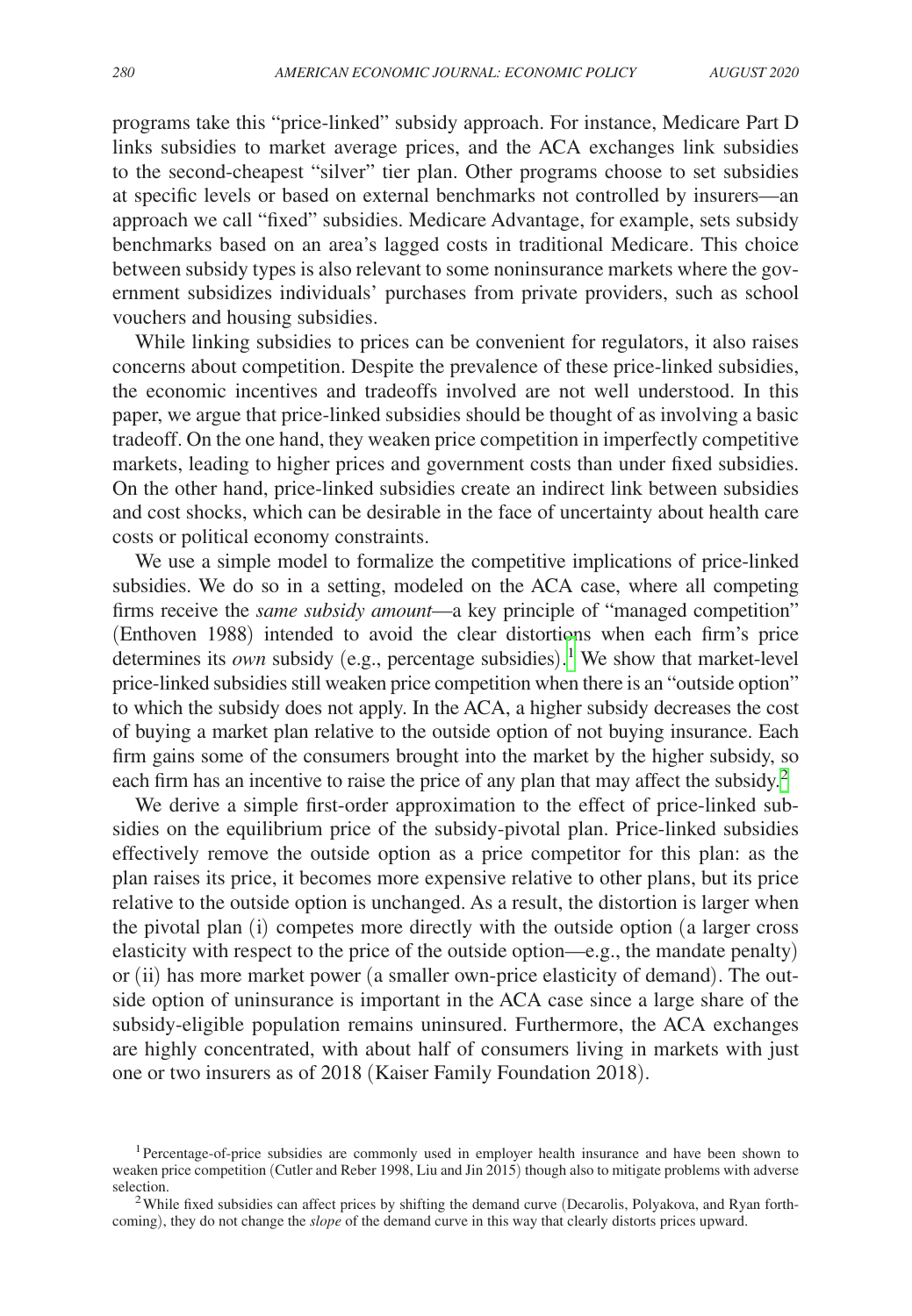programs take this "price-linked" subsidy approach. For instance, Medicare Part D links subsidies to market average prices, and the ACA exchanges link subsidies to the second-cheapest "silver" tier plan. Other programs choose to set subsidies at specific levels or based on external benchmarks not controlled by insurers—an approach we call "fixed" subsidies. Medicare Advantage, for example, sets subsidy benchmarks based on an area's lagged costs in traditional Medicare. This choice between subsidy types is also relevant to some noninsurance markets where the government subsidizes individuals' purchases from private providers, such as school vouchers and housing subsidies.

While linking subsidies to prices can be convenient for regulators, it also raises concerns about competition. Despite the prevalence of these price-linked subsidies, the economic incentives and tradeoffs involved are not well understood. In this paper, we argue that price-linked subsidies should be thought of as involving a basic tradeoff. On the one hand, they weaken price competition in imperfectly competitive markets, leading to higher prices and government costs than under fixed subsidies. On the other hand, price-linked subsidies create an indirect link between subsidies and cost shocks, which can be desirable in the face of uncertainty about health care costs or political economy constraints.

We use a simple model to formalize the competitive implications of price-linked subsidies. We do so in a setting, modeled on the ACA case, where all competing firms receive the *same subsidy amount*—a key principle of "managed competition" (Enthoven 1988) intended to avoid the clear distortions when each firm's price determines its *own* subsidy (e.g., percentage subsidies).<sup>[1](#page-1-0)</sup> We show that market-level price-linked subsidies still weaken price competition when there is an "outside option" to which the subsidy does not apply. In the ACA, a higher subsidy decreases the cost of buying a market plan relative to the outside option of not buying insurance. Each firm gains some of the consumers brought into the market by the higher subsidy, so each firm has an incentive to raise the price of any plan that may affect the subsidy.<sup>2</sup>

We derive a simple first-order approximation to the effect of price-linked subsidies on the equilibrium price of the subsidy-pivotal plan. Price-linked subsidies effectively remove the outside option as a price competitor for this plan: as the plan raises its price, it becomes more expensive relative to other plans, but its price relative to the outside option is unchanged. As a result, the distortion is larger when the pivotal plan (i) competes more directly with the outside option (a larger cross elasticity with respect to the price of the outside option—e.g., the mandate penalty) or (ii) has more market power (a smaller own-price elasticity of demand). The outside option of uninsurance is important in the ACA case since a large share of the subsidy-eligible population remains uninsured. Furthermore, the ACA exchanges are highly concentrated, with about half of consumers living in markets with just one or two insurers as of 2018 (Kaiser Family Foundation 2018).

<span id="page-1-0"></span><sup>1</sup>Percentage-of-price subsidies are commonly used in employer health insurance and have been shown to weaken price competition (Cutler and Reber 1998, Liu and Jin 2015) though also to mitigate problems with adverse

<span id="page-1-1"></span> $2$ While fixed subsidies can affect prices by shifting the demand curve (Decarolis, Polyakova, and Ryan forthcoming), they do not change the *slope* of the demand curve in this way that clearly distorts prices upward.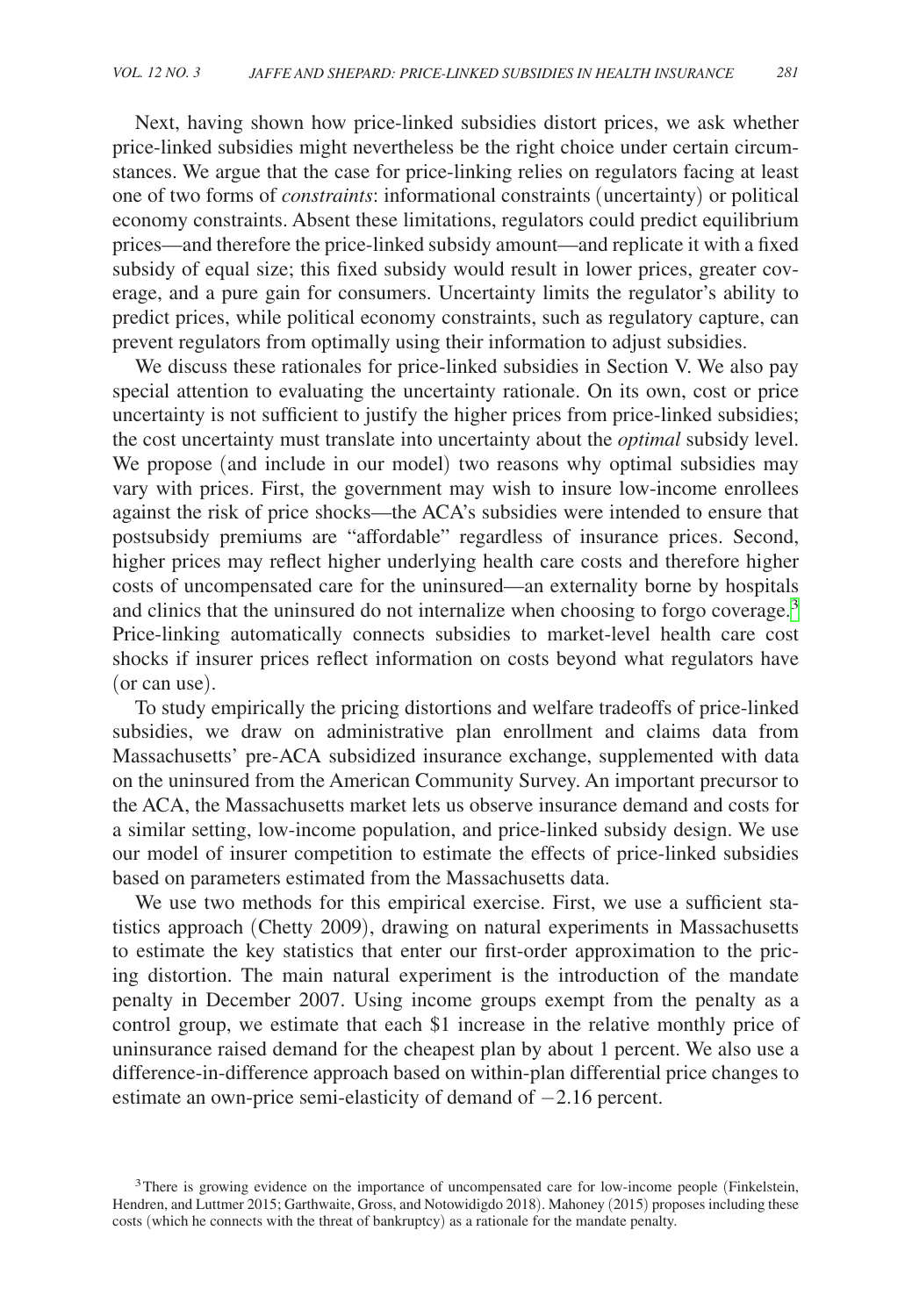Next, having shown how price-linked subsidies distort prices, we ask whether price-linked subsidies might nevertheless be the right choice under certain circumstances. We argue that the case for price-linking relies on regulators facing at least one of two forms of *constraints*: informational constraints (uncertainty) or political economy constraints. Absent these limitations, regulators could predict equilibrium prices—and therefore the price-linked subsidy amount—and replicate it with a fixed subsidy of equal size; this fixed subsidy would result in lower prices, greater coverage, and a pure gain for consumers. Uncertainty limits the regulator's ability to predict prices, while political economy constraints, such as regulatory capture, can prevent regulators from optimally using their information to adjust subsidies.

We discuss these rationales for price-linked subsidies in Section V. We also pay special attention to evaluating the uncertainty rationale. On its own, cost or price uncertainty is not sufficient to justify the higher prices from price-linked subsidies; the cost uncertainty must translate into uncertainty about the *optimal* subsidy level. We propose (and include in our model) two reasons why optimal subsidies may vary with prices. First, the government may wish to insure low-income enrollees against the risk of price shocks—the ACA's subsidies were intended to ensure that postsubsidy premiums are "affordable" regardless of insurance prices. Second, higher prices may reflect higher underlying health care costs and therefore higher costs of uncompensated care for the uninsured—an externality borne by hospitals and clinics that the uninsured do not internalize when choosing to forgo coverage.<sup>[3](#page-2-0)</sup> Price-linking automatically connects subsidies to market-level health care cost shocks if insurer prices reflect information on costs beyond what regulators have (or can use).

To study empirically the pricing distortions and welfare tradeoffs of price-linked subsidies, we draw on administrative plan enrollment and claims data from Massachusetts' pre-ACA subsidized insurance exchange, supplemented with data on the uninsured from the American Community Survey. An important precursor to the ACA, the Massachusetts market lets us observe insurance demand and costs for a similar setting, low-income population, and price-linked subsidy design. We use our model of insurer competition to estimate the effects of price-linked subsidies based on parameters estimated from the Massachusetts data.

We use two methods for this empirical exercise. First, we use a sufficient statistics approach (Chetty 2009), drawing on natural experiments in Massachusetts to estimate the key statistics that enter our first-order approximation to the pricing distortion. The main natural experiment is the introduction of the mandate penalty in December 2007. Using income groups exempt from the penalty as a control group, we estimate that each \$1 increase in the relative monthly price of uninsurance raised demand for the cheapest plan by about 1 percent. We also use a difference-in-difference approach based on within-plan differential price changes to estimate an own-price semi-elasticity of demand of −2.16 percent.

<span id="page-2-0"></span><sup>&</sup>lt;sup>3</sup>There is growing evidence on the importance of uncompensated care for low-income people (Finkelstein, Hendren, and Luttmer 2015; Garthwaite, Gross, and Notowidigdo 2018). Mahoney (2015) proposes including these costs (which he connects with the threat of bankruptcy) as a rationale for the mandate penalty.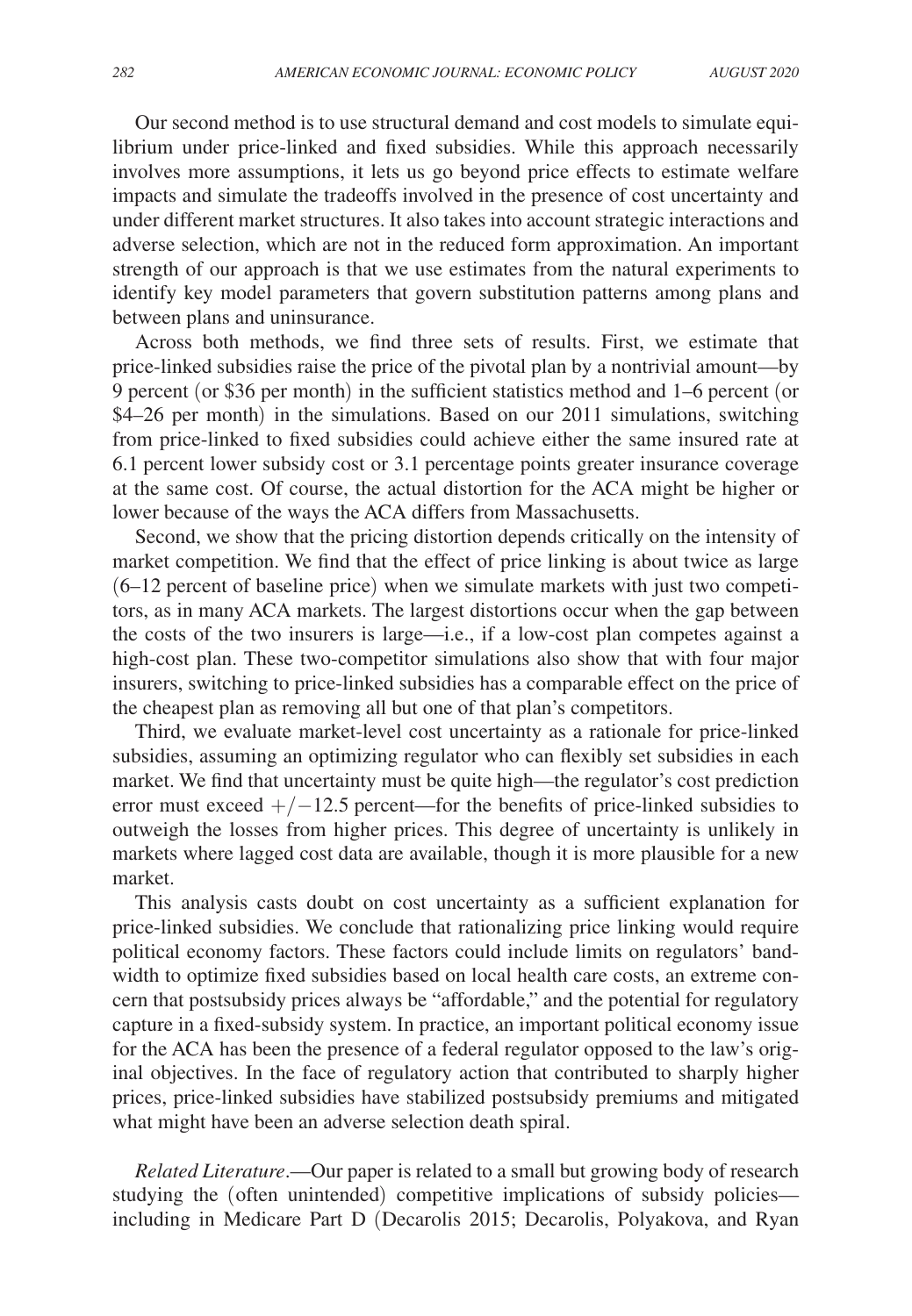Our second method is to use structural demand and cost models to simulate equilibrium under price-linked and fixed subsidies. While this approach necessarily involves more assumptions, it lets us go beyond price effects to estimate welfare impacts and simulate the tradeoffs involved in the presence of cost uncertainty and under different market structures. It also takes into account strategic interactions and adverse selection, which are not in the reduced form approximation. An important strength of our approach is that we use estimates from the natural experiments to identify key model parameters that govern substitution patterns among plans and between plans and uninsurance.

Across both methods, we find three sets of results. First, we estimate that price-linked subsidies raise the price of the pivotal plan by a nontrivial amount—by 9 percent (or \$36 per month) in the sufficient statistics method and 1–6 percent (or \$4–26 per month) in the simulations. Based on our 2011 simulations, switching from price-linked to fixed subsidies could achieve either the same insured rate at 6.1 percent lower subsidy cost or 3.1 percentage points greater insurance coverage at the same cost. Of course, the actual distortion for the ACA might be higher or lower because of the ways the ACA differs from Massachusetts.

Second, we show that the pricing distortion depends critically on the intensity of market competition. We find that the effect of price linking is about twice as large (6–12 percent of baseline price) when we simulate markets with just two competitors, as in many ACA markets. The largest distortions occur when the gap between the costs of the two insurers is large—i.e., if a low-cost plan competes against a high-cost plan. These two-competitor simulations also show that with four major insurers, switching to price-linked subsidies has a comparable effect on the price of the cheapest plan as removing all but one of that plan's competitors.

Third, we evaluate market-level cost uncertainty as a rationale for price-linked subsidies, assuming an optimizing regulator who can flexibly set subsidies in each market. We find that uncertainty must be quite high—the regulator's cost prediction error must exceed  $+/-12.5$  percent—for the benefits of price-linked subsidies to outweigh the losses from higher prices. This degree of uncertainty is unlikely in markets where lagged cost data are available, though it is more plausible for a new market.

This analysis casts doubt on cost uncertainty as a sufficient explanation for price-linked subsidies. We conclude that rationalizing price linking would require political economy factors. These factors could include limits on regulators' bandwidth to optimize fixed subsidies based on local health care costs, an extreme concern that postsubsidy prices always be "affordable," and the potential for regulatory capture in a fixed-subsidy system. In practice, an important political economy issue for the ACA has been the presence of a federal regulator opposed to the law's original objectives. In the face of regulatory action that contributed to sharply higher prices, price-linked subsidies have stabilized postsubsidy premiums and mitigated what might have been an adverse selection death spiral.

*Related Literature*.—Our paper is related to a small but growing body of research studying the (often unintended) competitive implications of subsidy policies including in Medicare Part D (Decarolis 2015; Decarolis, Polyakova, and Ryan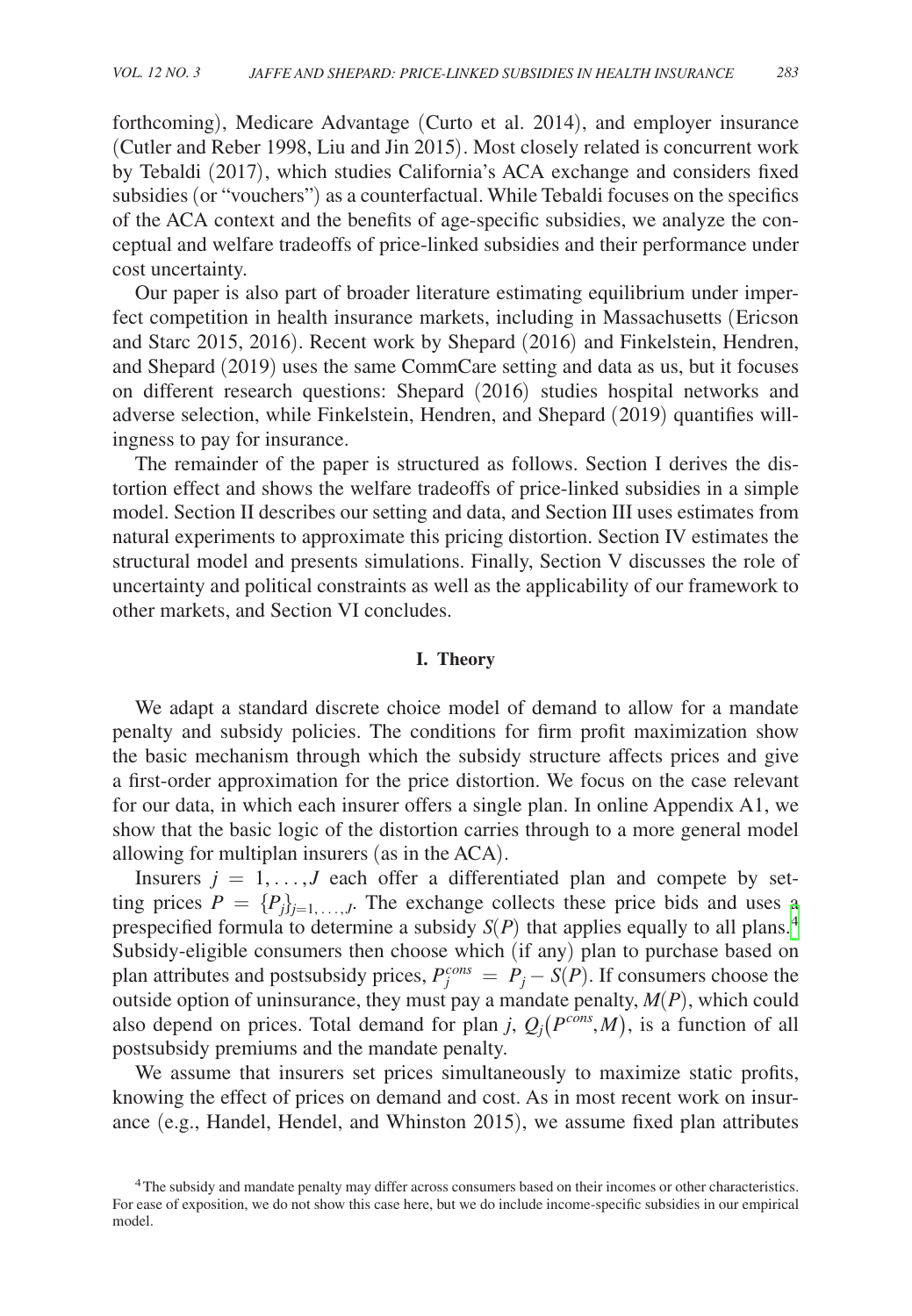forthcoming), Medicare Advantage (Curto et al. 2014), and employer insurance (Cutler and Reber 1998, Liu and Jin 2015). Most closely related is concurrent work by Tebaldi (2017), which studies California's ACA exchange and considers fixed subsidies (or "vouchers") as a counterfactual. While Tebaldi focuses on the specifics of the ACA context and the benefits of age-specific subsidies, we analyze the conceptual and welfare tradeoffs of price-linked subsidies and their performance under cost uncertainty.

Our paper is also part of broader literature estimating equilibrium under imperfect competition in health insurance markets, including in Massachusetts (Ericson and Starc 2015, 2016). Recent work by Shepard (2016) and Finkelstein, Hendren, and Shepard (2019) uses the same CommCare setting and data as us, but it focuses on different research questions: Shepard (2016) studies hospital networks and adverse selection, while Finkelstein, Hendren, and Shepard (2019) quantifies willingness to pay for insurance.

The remainder of the paper is structured as follows. Section I derives the distortion effect and shows the welfare tradeoffs of price-linked subsidies in a simple model. Section II describes our setting and data, and Section III uses estimates from natural experiments to approximate this pricing distortion. Section IV estimates the structural model and presents simulations. Finally, Section V discusses the role of uncertainty and political constraints as well as the applicability of our framework to other markets, and Section VI concludes.

#### **I. Theory**

We adapt a standard discrete choice model of demand to allow for a mandate penalty and subsidy policies. The conditions for firm profit maximization show the basic mechanism through which the subsidy structure affects prices and give a first-order approximation for the price distortion. We focus on the case relevant for our data, in which each insurer offers a single plan. In online Appendix A1, we show that the basic logic of the distortion carries through to a more general model allowing for multiplan insurers (as in the ACA).

Insurers  $j = 1, \ldots, J$  each offer a differentiated plan and compete by setting prices  $P = \{P_j\}_{j=1,\dots,J}$ . The exchange collects these price bids and uses a prespecified formula to determine a subsidy  $S(P)$  that applies equally to all plans.<sup>[4](#page-4-0)</sup> Subsidy-eligible consumers then choose which (if any) plan to purchase based on plan attributes and postsubsidy prices,  $P_j^{cons} = P_j - S(P)$ . If consumers choose the outside option of uninsurance, they must pay a mandate penalty, *M*(*P*), which could also depend on prices. Total demand for plan *j*,  $Q_i(P^{cons},M)$ , is a function of all postsubsidy premiums and the mandate penalty.

We assume that insurers set prices simultaneously to maximize static profits, knowing the effect of prices on demand and cost. As in most recent work on insurance (e.g., Handel, Hendel, and Whinston 2015), we assume fixed plan attributes

<span id="page-4-0"></span><sup>4</sup>The subsidy and mandate penalty may differ across consumers based on their incomes or other characteristics. For ease of exposition, we do not show this case here, but we do include income-specific subsidies in our empirical model.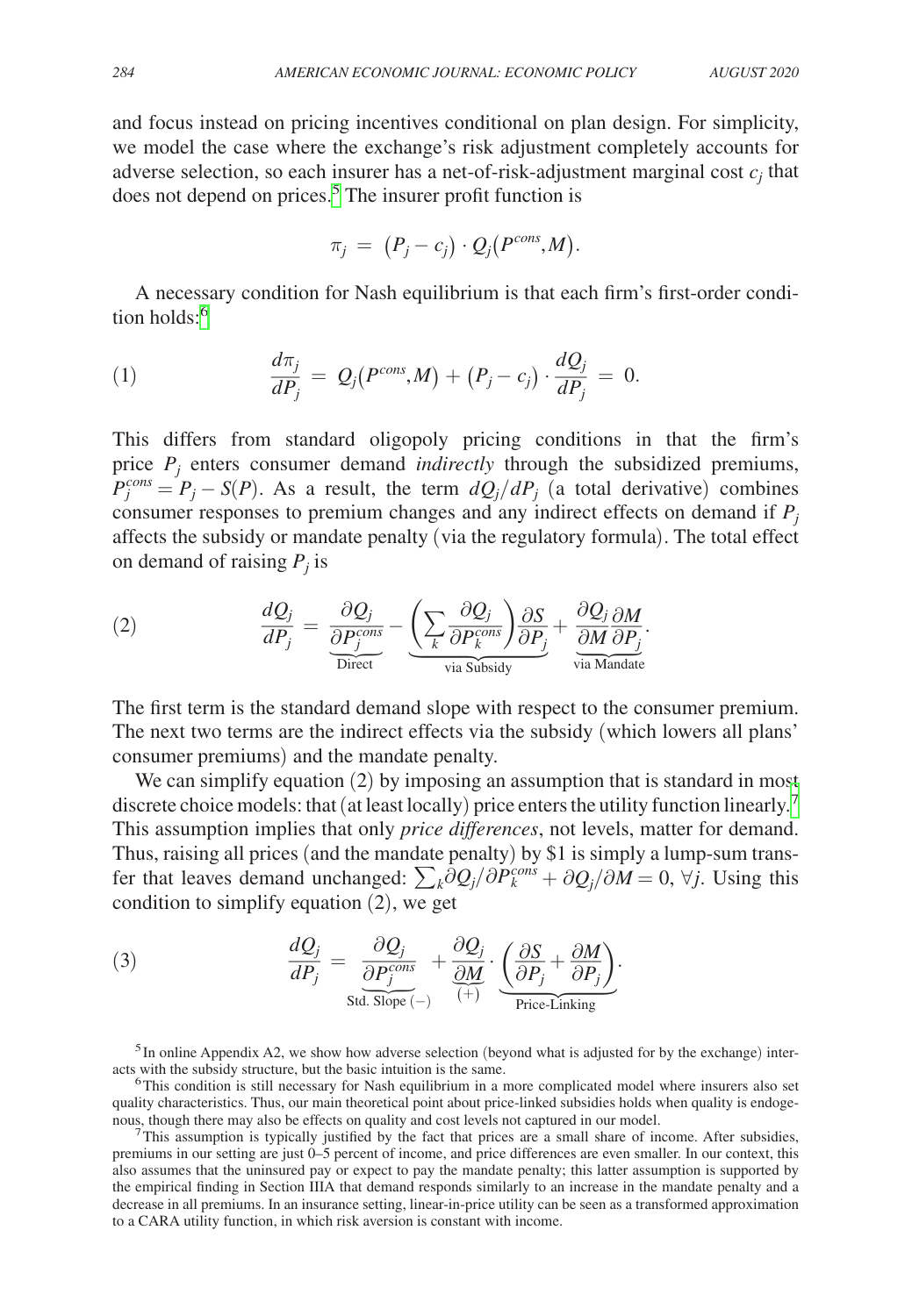and focus instead on pricing incentives conditional on plan design. For simplicity, we model the case where the exchange's risk adjustment completely accounts for adverse selection, so each insurer has a net-of-risk-adjustment marginal cost  $c_j$  that does not depend on prices.<sup>[5](#page-5-0)</sup> The insurer profit function is

$$
\pi_j = (P_j - c_j) \cdot Q_j(P^{cons}, M).
$$

A necessary condition for Nash equilibrium is that each firm's first-order condi-tion holds:<sup>[6](#page-5-1)</sup>

(1) 
$$
\frac{d\pi_j}{dP_j} = Q_j(P^{cons}, M) + (P_j - c_j) \cdot \frac{dQ_j}{dP_j} = 0.
$$

This differs from standard oligopoly pricing conditions in that the firm's price *Pj* enters consumer demand *indirectly* through the subsidized premiums,  $P_j^{cons} = P_j - S(P)$ . As a result, the term  $dQ_j/dP_j$  (a total derivative) combines consumer responses to premium changes and any indirect effects on demand if  $P_i$ affects the subsidy or mandate penalty (via the regulatory formula). The total effect on demand of raising  $P_j$  is

values the subsidy of maintenance penalty (via the regulatory formula:

\non demand of raising 
$$
P_j
$$
 is

\n
$$
(2) \qquad \frac{dQ_j}{dP_j} = \underbrace{\frac{\partial Q_j}{\partial P_j^{cons}}}_{\text{Direct}} - \underbrace{\left(\sum_k \frac{\partial Q_j}{\partial P_k^{cons}}\right) \frac{\partial S}{\partial P_j}}_{\text{via Subsidy}} + \underbrace{\frac{\partial Q_j}{\partial M} \frac{\partial M}{\partial P_j}}_{\text{via Mandate}}.
$$

The first term is the standard demand slope with respect to the consumer premium. The next two terms are the indirect effects via the subsidy (which lowers all plans' consumer premiums) and the mandate penalty.

We can simplify equation (2) by imposing an assumption that is standard in most discrete choice models: that (at least locally) price enters the utility function linearly.<sup>[7](#page-5-2)</sup> This assumption implies that only *price differences*, not levels, matter for demand. Thus, raising all prices (and the mandate penalty) by \$1 is simply a lump-sum transfer that leaves demand unchanged:  $\sum_k \hat{\partial} Q_j / \partial P_k^{cons} + \partial Q_j / \partial M = 0$ ,  $\forall j$ . Using this condition to simplify equation (2), we get

For that leaves demand unchanged: 
$$
\sum_{k} OQ_{j}/OP_{k}^{\text{even}} + \partial Q_{j}/\partial M
$$
 condition to simplify equation (2), we get

\n(3)

\n
$$
\frac{dQ_{j}}{dP_{j}} = \frac{\partial Q_{j}}{\partial P_{j}^{\text{cons}}} + \frac{\partial Q_{j}}{\partial M} \cdot \underbrace{\left(\frac{\partial S}{\partial P_{j}} + \frac{\partial M}{\partial P_{j}}\right)}_{\text{Price-Linking}}.
$$

<span id="page-5-0"></span><sup>5</sup>In online Appendix A2, we show how adverse selection (beyond what is adjusted for by the exchange) inter-<br>acts with the subsidy structure, but the basic intuition is the same.

<span id="page-5-1"></span> $6$ This condition is still necessary for Nash equilibrium in a more complicated model where insurers also set quality characteristics. Thus, our main theoretical point about price-linked subsidies holds when quality is endogenous, though there may also be effects on quality and cost levels not captured in our model.

<span id="page-5-2"></span>This assumption is typically justified by the fact that prices are a small share of income. After subsidies, premiums in our setting are just 0–5 percent of income, and price differences are even smaller. In our context, this also assumes that the uninsured pay or expect to pay the mandate penalty; this latter assumption is supported by the empirical finding in Section IIIA that demand responds similarly to an increase in the mandate penalty and a decrease in all premiums. In an insurance setting, linear-in-price utility can be seen as a transformed approximation to a CARA utility function, in which risk aversion is constant with income.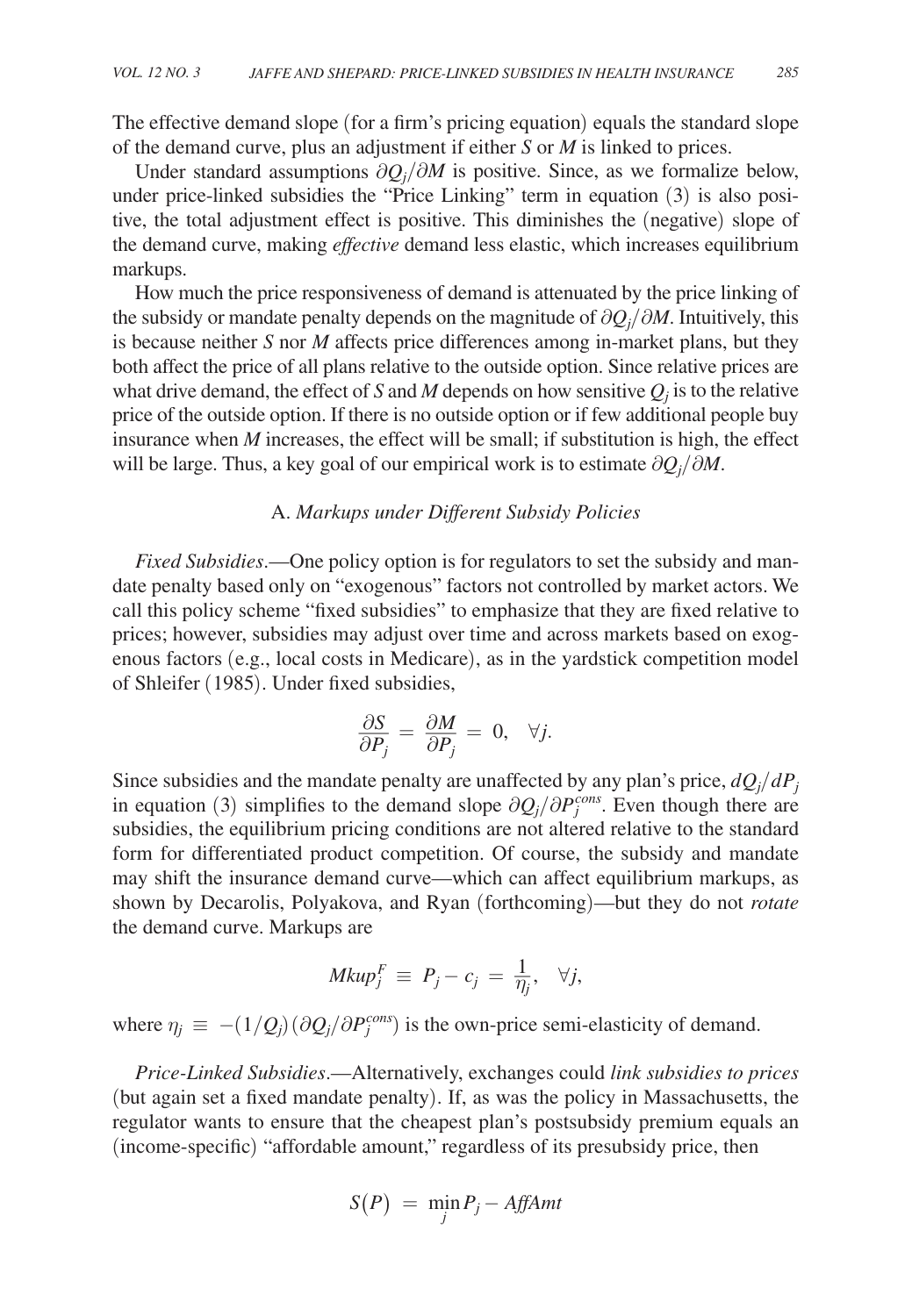The effective demand slope (for a firm's pricing equation) equals the standard slope of the demand curve, plus an adjustment if either *S* or *M* is linked to prices.

Under standard assumptions  $\partial Q_j / \partial M$  is positive. Since, as we formalize below, under price-linked subsidies the "Price Linking" term in equation (3) is also positive, the total adjustment effect is positive. This diminishes the (negative) slope of the demand curve, making *effective* demand less elastic, which increases equilibrium markups.

How much the price responsiveness of demand is attenuated by the price linking of the subsidy or mandate penalty depends on the magnitude of ∂ *Qj* /∂*M*. Intuitively, this is because neither *S* nor *M* affects price differences among in-market plans, but they both affect the price of all plans relative to the outside option. Since relative prices are what drive demand, the effect of *S* and *M* depends on how sensitive  $Q_j$  is to the relative price of the outside option. If there is no outside option or if few additional people buy insurance when *M* increases, the effect will be small; if substitution is high, the effect will be large. Thus, a key goal of our empirical work is to estimate  $\partial Q_j / \partial M$ .

#### A. *Markups under Different Subsidy Policies*

*Fixed Subsidies*.—One policy option is for regulators to set the subsidy and mandate penalty based only on "exogenous" factors not controlled by market actors. We call this policy scheme "fixed subsidies" to emphasize that they are fixed relative to prices; however, subsidies may adjust over time and across markets based on exogenous factors (e.g., local costs in Medicare), as in the yardstick competition model of Shleifer (1985). Under fixed subsidies,<br>  $\frac{\partial S}{\partial P} = \frac{\partial M}{\partial P}$ 

$$
\frac{\partial S}{\partial P_j} = \frac{\partial M}{\partial P_j} = 0, \quad \forall j.
$$

Since subsidies and the mandate penalty are unaffected by any plan's price,  $dQ_j/dP_j$ in equation (3) simplifies to the demand slope  $\partial Q_j / \partial P_j^{cons}$ . Even though there are subsidies, the equilibrium pricing conditions are not altered relative to the standard form for differentiated product competition. Of course, the subsidy and mandate may shift the insurance demand curve—which can affect equilibrium markups, as shown by Decarolis, Polyakova, and Ryan (forthcoming)—but they do not *rotate* the demand curve. Markups are

$$
Mkup_j^F \equiv P_j - c_j = \frac{1}{\eta_j}, \quad \forall j,
$$

where  $\eta_j \equiv -(1/Q_j)(\partial Q_j/\partial P_j^{cons})$  is the own-price semi-elasticity of demand.

*Price-Linked Subsidies*.—Alternatively, exchanges could *link subsidies to prices* (but again set a fixed mandate penalty). If, as was the policy in Massachusetts, the regulator wants to ensure that the cheapest plan's postsubsidy premium equals an (income-specific) "affordable amount," regardless of its presubsidy price, then

$$
S(P) = \min_j P_j - AffAmt
$$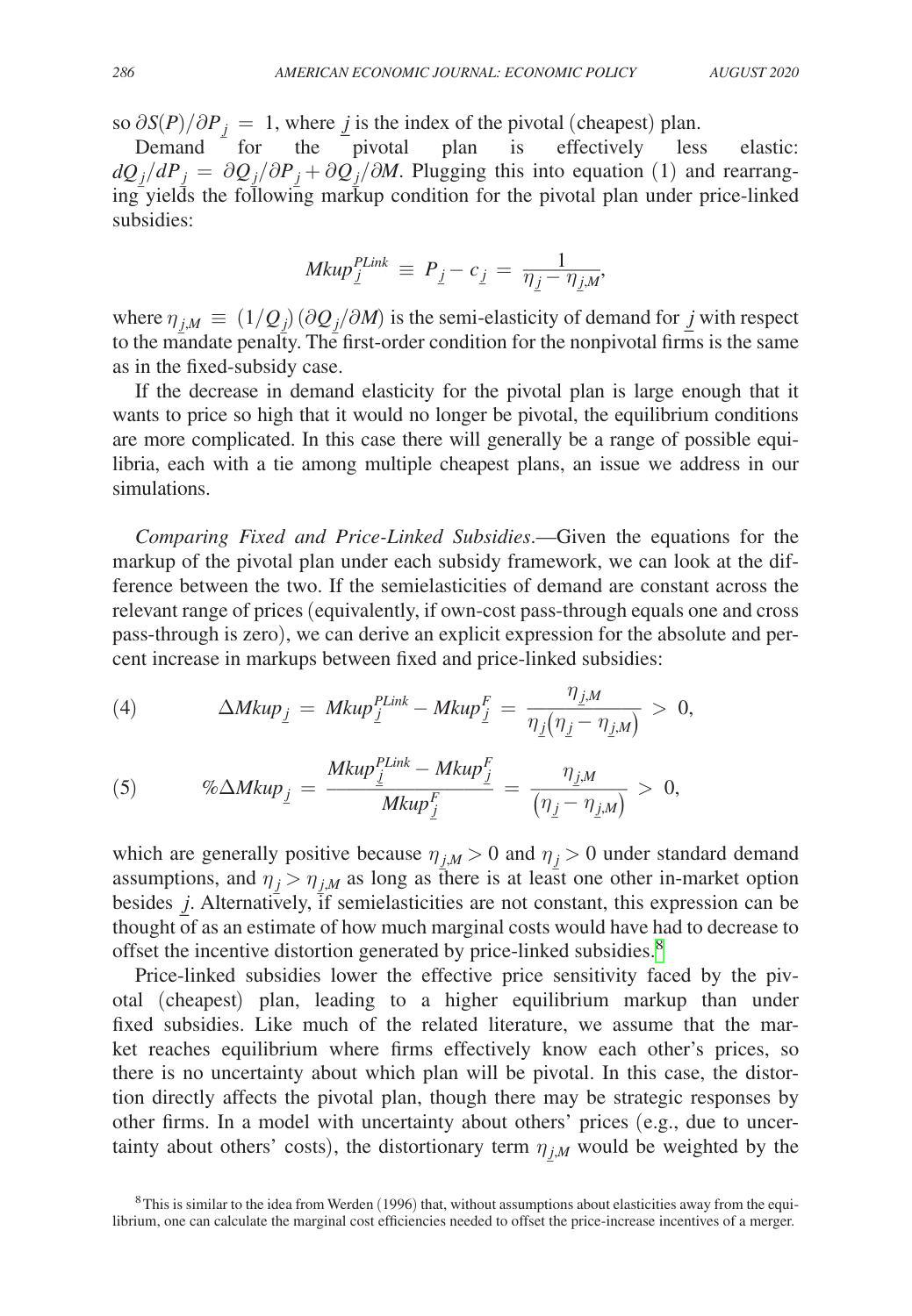$$
AUGUST\,2020
$$

so  $\partial S(P)/\partial P_j = 1$ , where *j* is the index of the pivotal (cheapest) plan.<br>Demand for the pivotal plan is effectively less

Demand for the pivotal plan is effectively less elastic:  $dQ_j/dP_j = \frac{\partial Q_j}{\partial P_j} + \frac{\partial Q_j}{\partial M}$ . Plugging this into equation (1) and rearranging yields the following markup condition for the pivotal plan under price-linked subsidies:

$$
Mkup_{\underline{j}}^{PLink} \equiv P_{\underline{j}} - c_{\underline{j}} = \frac{1}{\eta_{\underline{j}} - \eta_{\underline{j},M}},
$$

where  $\eta_{j,M} \equiv (1/Q_j) (\partial Q_j / \partial M)$  is the semi-elasticity of demand for *j* with respect to the mandate penalty. The first-order condition for the nonpivotal firms is the same as in the fixed-subsidy case.

If the decrease in demand elasticity for the pivotal plan is large enough that it wants to price so high that it would no longer be pivotal, the equilibrium conditions are more complicated. In this case there will generally be a range of possible equilibria, each with a tie among multiple cheapest plans, an issue we address in our simulations.

*Comparing Fixed and Price-Linked Subsidies*.—Given the equations for the markup of the pivotal plan under each subsidy framework, we can look at the difference between the two. If the semielasticities of demand are constant across the relevant range of prices (equivalently, if own-cost pass-through equals one and cross pass-through is zero), we can derive an explicit expression for the absolute and per-

cent increase in markings between fixed and price-linked subsidies:

\n
$$
(4) \qquad \Delta M k u p_{\underline{j}} = M k u p_{\underline{j}}^{PLink} - M k u p_{\underline{j}}^F = \frac{\eta_{\underline{j},M}}{\eta_{\underline{j}}(\eta_{\underline{j}} - \eta_{\underline{j},M})} > 0,
$$

(4) 
$$
\Delta M \kappa u p_j = M \kappa u p_j - M \kappa u p_j = \frac{\eta_j (\eta_j - \eta_{j,M})}{\eta_j (\eta_j - \eta_{j,M})} > 0,
$$
  
(5) 
$$
\% \Delta M \kappa u p_j = \frac{M \kappa u p_j^{\text{Planck}} - M \kappa u p_j^{\text{Enck}}}{M \kappa u p_j^{\text{Enck}}} = \frac{\eta_{j,M}}{(\eta_j - \eta_{j,M})} > 0,
$$

which are generally positive because  $\eta_{j,M} > 0$  and  $\eta_j > 0$  under standard demand assumptions, and  $\eta_i > \eta_{i,M}$  as long as there is at least one other in-market option besides *j*. Alternatively, if semielasticities are not constant, this expression can be thought of as an estimate of how much marginal costs would have had to decrease to offset the incentive distortion generated by price-linked subsidies.<sup>8</sup>

Price-linked subsidies lower the effective price sensitivity faced by the pivotal (cheapest) plan, leading to a higher equilibrium markup than under fixed subsidies. Like much of the related literature, we assume that the market reaches equilibrium where firms effectively know each other's prices, so there is no uncertainty about which plan will be pivotal. In this case, the distortion directly affects the pivotal plan, though there may be strategic responses by other firms. In a model with uncertainty about others' prices (e.g., due to uncertainty about others' costs), the distortionary term  $\eta_{i,M}$  would be weighted by the

<span id="page-7-0"></span> $8$ This is similar to the idea from Werden (1996) that, without assumptions about elasticities away from the equilibrium, one can calculate the marginal cost efficiencies needed to offset the price-increase incentives of a merger.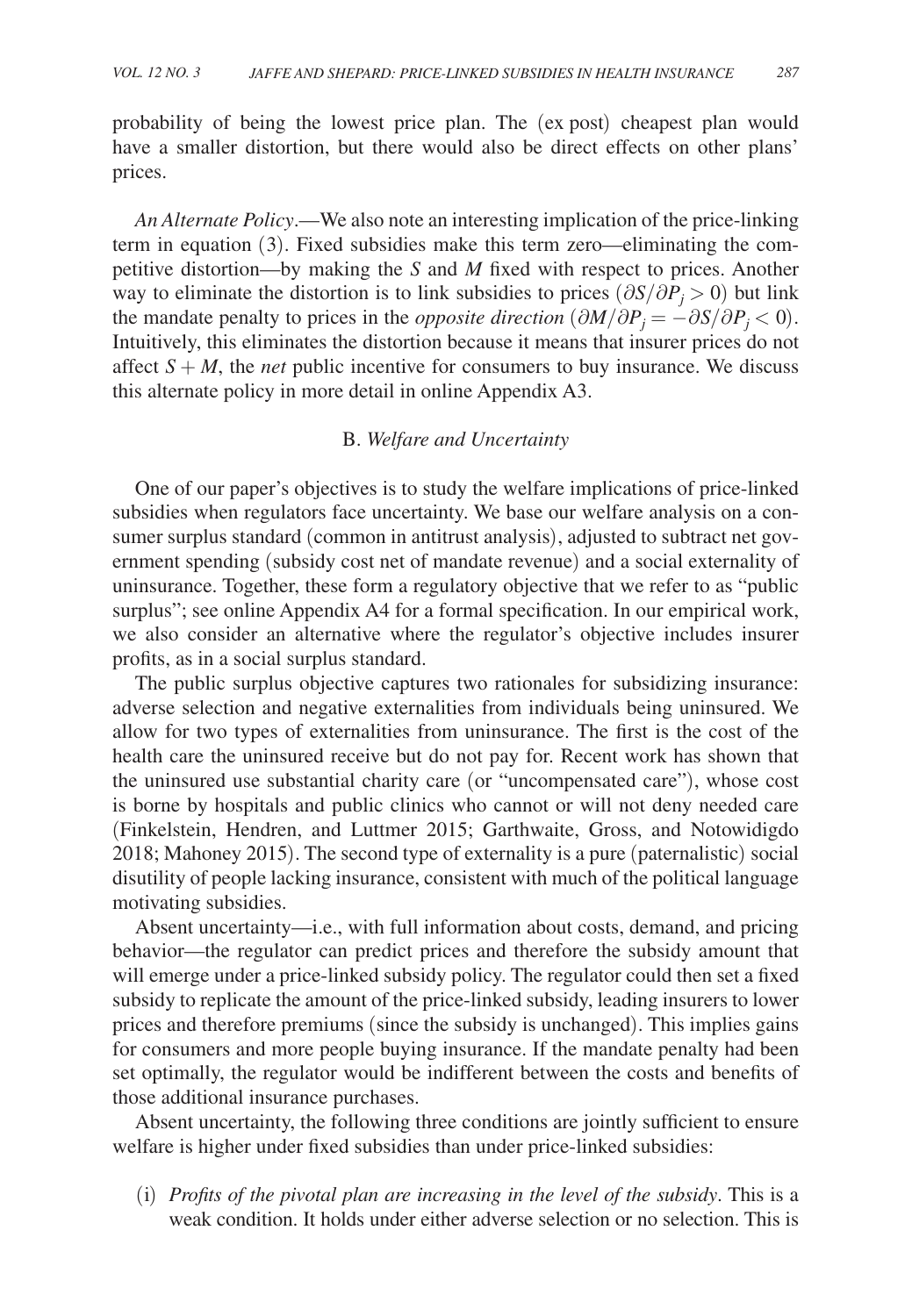probability of being the lowest price plan. The (ex post) cheapest plan would have a smaller distortion, but there would also be direct effects on other plans' prices.

*An Alternate Policy*.—We also note an interesting implication of the price-linking term in equation (3). Fixed subsidies make this term zero—eliminating the competitive distortion—by making the *S* and *M* fixed with respect to prices. Another way to eliminate the distortion is to link subsidies to prices  $(\partial S/\partial P_i > 0)$  but link the mandate penalty to prices in the *opposite direction*  $(\partial M/\partial P_j = -\partial S/\partial P_j < 0)$ . Intuitively, this eliminates the distortion because it means that insurer prices do not affect  $S + M$ , the *net* public incentive for consumers to buy insurance. We discuss this alternate policy in more detail in online Appendix A3.

### B. *Welfare and Uncertainty*

One of our paper's objectives is to study the welfare implications of price-linked subsidies when regulators face uncertainty. We base our welfare analysis on a consumer surplus standard (common in antitrust analysis), adjusted to subtract net government spending (subsidy cost net of mandate revenue) and a social externality of uninsurance. Together, these form a regulatory objective that we refer to as "public surplus"; see online Appendix A4 for a formal specification. In our empirical work, we also consider an alternative where the regulator's objective includes insurer profits, as in a social surplus standard.

The public surplus objective captures two rationales for subsidizing insurance: adverse selection and negative externalities from individuals being uninsured. We allow for two types of externalities from uninsurance. The first is the cost of the health care the uninsured receive but do not pay for. Recent work has shown that the uninsured use substantial charity care (or "uncompensated care"), whose cost is borne by hospitals and public clinics who cannot or will not deny needed care (Finkelstein, Hendren, and Luttmer 2015; Garthwaite, Gross, and Notowidigdo 2018; Mahoney 2015). The second type of externality is a pure (paternalistic) social disutility of people lacking insurance, consistent with much of the political language motivating subsidies.

Absent uncertainty—i.e., with full information about costs, demand, and pricing behavior—the regulator can predict prices and therefore the subsidy amount that will emerge under a price-linked subsidy policy. The regulator could then set a fixed subsidy to replicate the amount of the price-linked subsidy, leading insurers to lower prices and therefore premiums (since the subsidy is unchanged). This implies gains for consumers and more people buying insurance. If the mandate penalty had been set optimally, the regulator would be indifferent between the costs and benefits of those additional insurance purchases.

Absent uncertainty, the following three conditions are jointly sufficient to ensure welfare is higher under fixed subsidies than under price-linked subsidies:

(i) *Profits of the pivotal plan are increasing in the level of the subsidy*. This is a weak condition. It holds under either adverse selection or no selection. This is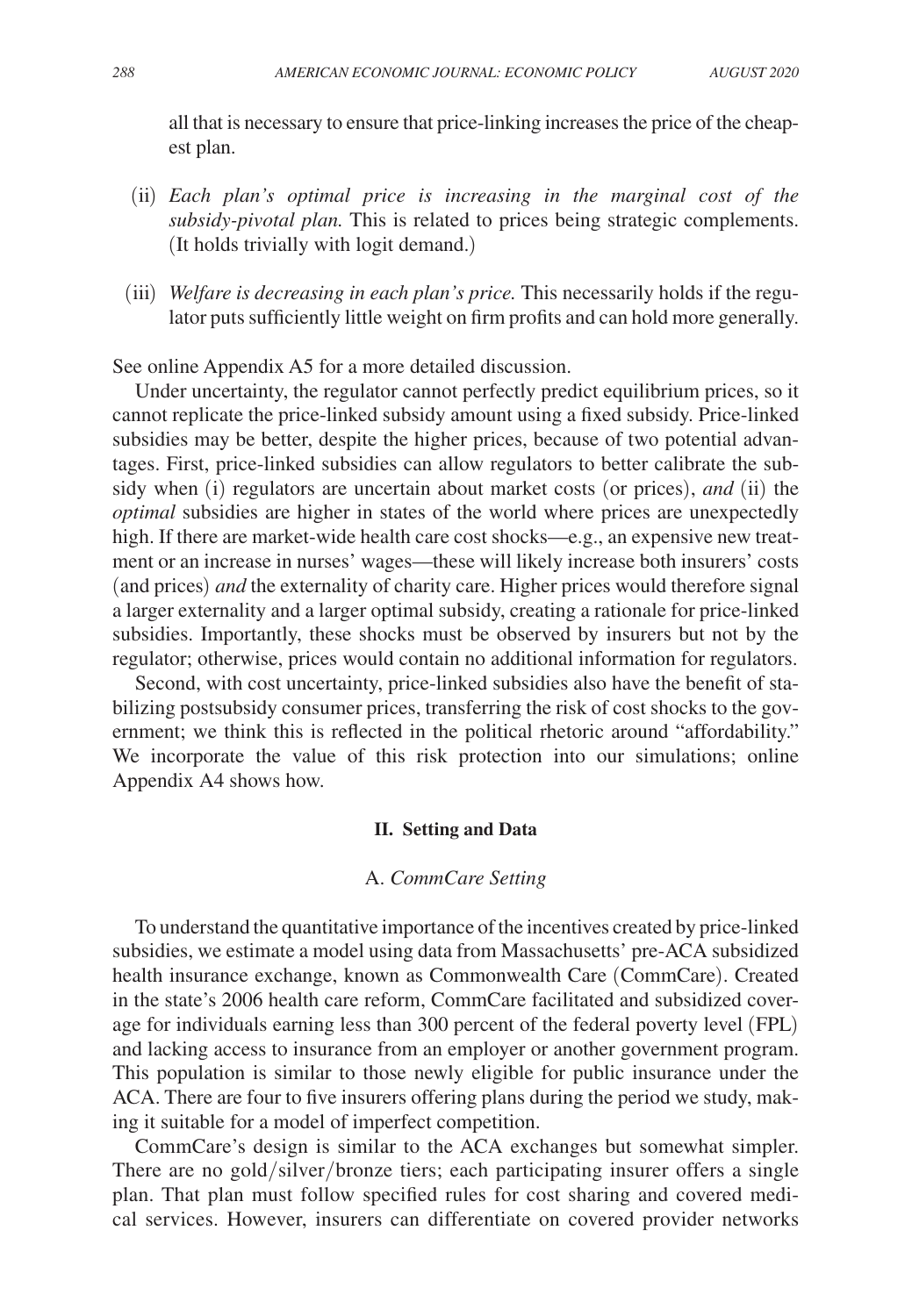all that is necessary to ensure that price-linking increases the price of the cheapest plan.

- (ii) *Each plan's optimal price is increasing in the marginal cost of the subsidy-pivotal plan.* This is related to prices being strategic complements. (It holds trivially with logit demand.)
- (iii) *Welfare is decreasing in each plan's price.* This necessarily holds if the regulator puts sufficiently little weight on firm profits and can hold more generally.

See online Appendix A5 for a more detailed discussion.

Under uncertainty, the regulator cannot perfectly predict equilibrium prices, so it cannot replicate the price-linked subsidy amount using a fixed subsidy. Price-linked subsidies may be better, despite the higher prices, because of two potential advantages. First, price-linked subsidies can allow regulators to better calibrate the subsidy when (i) regulators are uncertain about market costs (or prices), *and* (ii) the *optimal* subsidies are higher in states of the world where prices are unexpectedly high. If there are market-wide health care cost shocks—e.g., an expensive new treatment or an increase in nurses' wages—these will likely increase both insurers' costs (and prices) *and* the externality of charity care. Higher prices would therefore signal a larger externality and a larger optimal subsidy, creating a rationale for price-linked subsidies. Importantly, these shocks must be observed by insurers but not by the regulator; otherwise, prices would contain no additional information for regulators.

Second, with cost uncertainty, price-linked subsidies also have the benefit of stabilizing postsubsidy consumer prices, transferring the risk of cost shocks to the government; we think this is reflected in the political rhetoric around "affordability." We incorporate the value of this risk protection into our simulations; online Appendix A4 shows how.

#### **II. Setting and Data**

#### A. *CommCare Setting*

To understand the quantitative importance of the incentives created by price-linked subsidies, we estimate a model using data from Massachusetts' pre-ACA subsidized health insurance exchange, known as Commonwealth Care (CommCare). Created in the state's 2006 health care reform, CommCare facilitated and subsidized coverage for individuals earning less than 300 percent of the federal poverty level (FPL) and lacking access to insurance from an employer or another government program. This population is similar to those newly eligible for public insurance under the ACA. There are four to five insurers offering plans during the period we study, making it suitable for a model of imperfect competition.

CommCare's design is similar to the ACA exchanges but somewhat simpler. There are no gold/silver/bronze tiers; each participating insurer offers a single plan. That plan must follow specified rules for cost sharing and covered medical services. However, insurers can differentiate on covered provider networks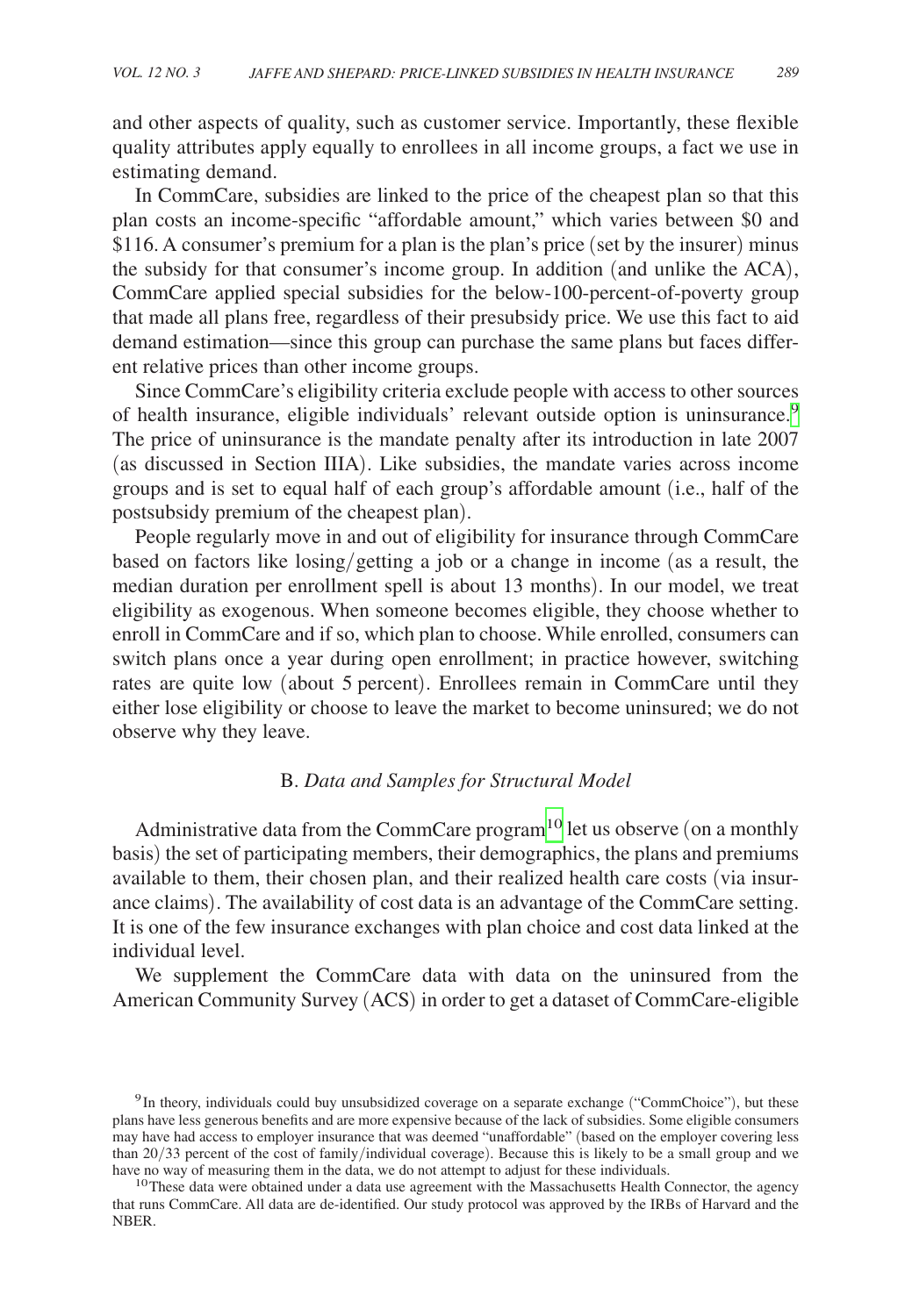and other aspects of quality, such as customer service. Importantly, these flexible quality attributes apply equally to enrollees in all income groups, a fact we use in estimating demand.

In CommCare, subsidies are linked to the price of the cheapest plan so that this plan costs an income-specific "affordable amount," which varies between \$0 and \$116. A consumer's premium for a plan is the plan's price (set by the insurer) minus the subsidy for that consumer's income group. In addition (and unlike the ACA), CommCare applied special subsidies for the below-100-percent-of-poverty group that made all plans free, regardless of their presubsidy price. We use this fact to aid demand estimation—since this group can purchase the same plans but faces different relative prices than other income groups.

Since CommCare's eligibility criteria exclude people with access to other sources of health insurance, eligible individuals' relevant outside option is uninsurance.[9](#page-10-0) The price of uninsurance is the mandate penalty after its introduction in late 2007 (as discussed in Section IIIA). Like subsidies, the mandate varies across income groups and is set to equal half of each group's affordable amount (i.e., half of the postsubsidy premium of the cheapest plan).

People regularly move in and out of eligibility for insurance through CommCare based on factors like losing/getting a job or a change in income (as a result, the median duration per enrollment spell is about 13 months). In our model, we treat eligibility as exogenous. When someone becomes eligible, they choose whether to enroll in CommCare and if so, which plan to choose. While enrolled, consumers can switch plans once a year during open enrollment; in practice however, switching rates are quite low (about 5 percent). Enrollees remain in CommCare until they either lose eligibility or choose to leave the market to become uninsured; we do not observe why they leave.

## B. *Data and Samples for Structural Model*

Administrative data from the CommCare program<sup>10</sup> let us observe (on a monthly basis) the set of participating members, their demographics, the plans and premiums available to them, their chosen plan, and their realized health care costs (via insurance claims). The availability of cost data is an advantage of the CommCare setting. It is one of the few insurance exchanges with plan choice and cost data linked at the individual level.

We supplement the CommCare data with data on the uninsured from the American Community Survey (ACS) in order to get a dataset of CommCare-eligible

<span id="page-10-0"></span><sup>&</sup>lt;sup>9</sup>In theory, individuals could buy unsubsidized coverage on a separate exchange ("CommChoice"), but these plans have less generous benefits and are more expensive because of the lack of subsidies. Some eligible consumers may have had access to employer insurance that was deemed "unaffordable" (based on the employer covering less than 20/33 percent of the cost of family/individual coverage). Because this is likely to be a small group and we have no way of measuring them in the data, we do not attempt to adjust for these individuals.

<span id="page-10-1"></span> $10$ These data were obtained under a data use agreement with the Massachusetts Health Connector, the agency that runs CommCare. All data are de-identified. Our study protocol was approved by the IRBs of Harvard and the NBER.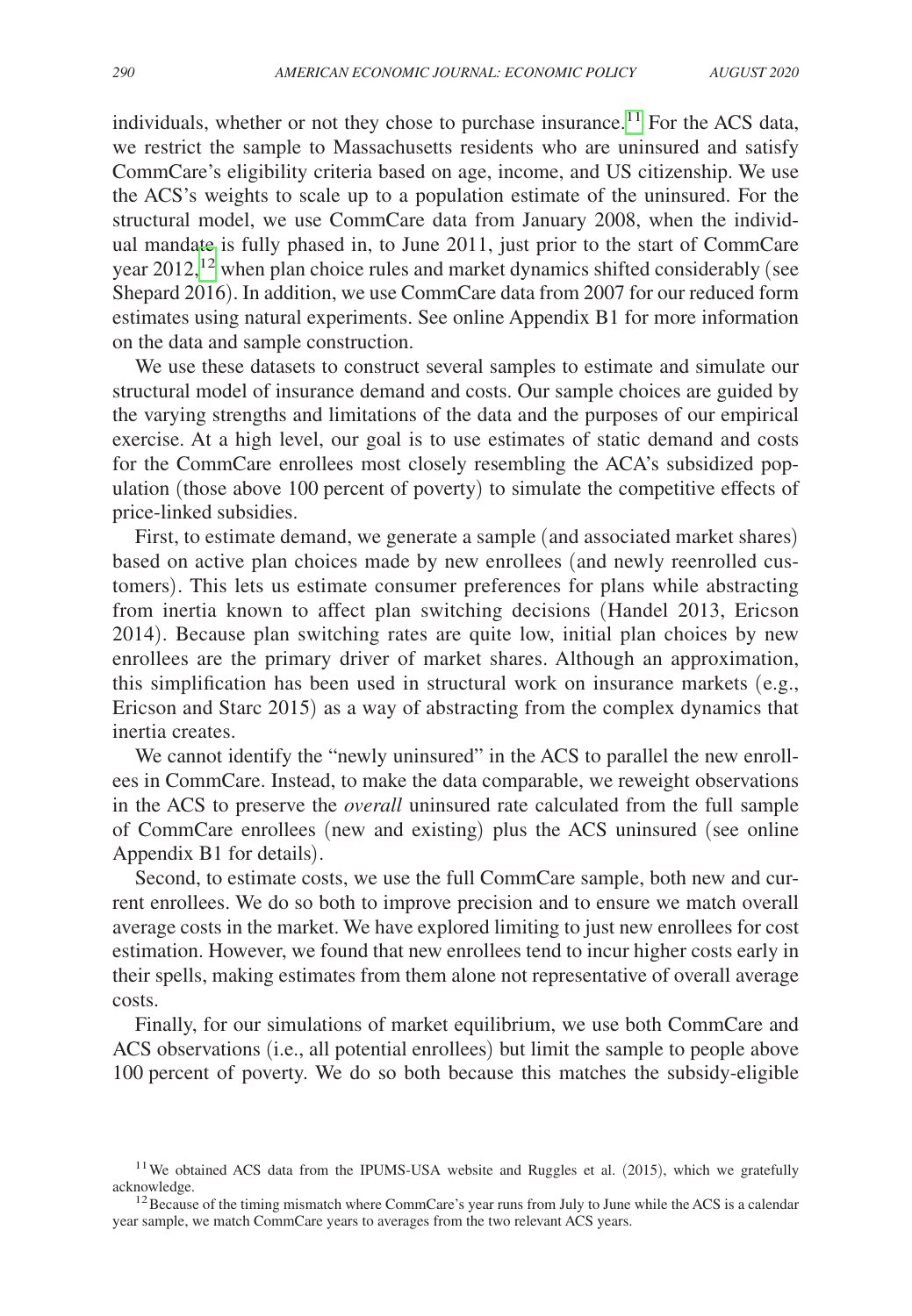individuals, whether or not they chose to purchase insurance.<sup>[11](#page-11-0)</sup> For the ACS data, we restrict the sample to Massachusetts residents who are uninsured and satisfy CommCare's eligibility criteria based on age, income, and US citizenship. We use the ACS's weights to scale up to a population estimate of the uninsured. For the structural model, we use CommCare data from January 2008, when the individual mandate is fully phased in, to June 2011, just prior to the start of CommCare year 2012,<sup>12</sup> when plan choice rules and market dynamics shifted considerably (see Shepard 2016). In addition, we use CommCare data from 2007 for our reduced form estimates using natural experiments. See online Appendix B1 for more information on the data and sample construction.

We use these datasets to construct several samples to estimate and simulate our structural model of insurance demand and costs. Our sample choices are guided by the varying strengths and limitations of the data and the purposes of our empirical exercise. At a high level, our goal is to use estimates of static demand and costs for the CommCare enrollees most closely resembling the ACA's subsidized population (those above 100 percent of poverty) to simulate the competitive effects of price-linked subsidies.

First, to estimate demand, we generate a sample (and associated market shares) based on active plan choices made by new enrollees (and newly reenrolled customers). This lets us estimate consumer preferences for plans while abstracting from inertia known to affect plan switching decisions (Handel 2013, Ericson 2014). Because plan switching rates are quite low, initial plan choices by new enrollees are the primary driver of market shares. Although an approximation, this simplification has been used in structural work on insurance markets (e.g., Ericson and Starc 2015) as a way of abstracting from the complex dynamics that inertia creates.

We cannot identify the "newly uninsured" in the ACS to parallel the new enrollees in CommCare. Instead, to make the data comparable, we reweight observations in the ACS to preserve the *overall* uninsured rate calculated from the full sample of CommCare enrollees (new and existing) plus the ACS uninsured (see online Appendix B1 for details).

Second, to estimate costs, we use the full CommCare sample, both new and current enrollees. We do so both to improve precision and to ensure we match overall average costs in the market. We have explored limiting to just new enrollees for cost estimation. However, we found that new enrollees tend to incur higher costs early in their spells, making estimates from them alone not representative of overall average costs.

Finally, for our simulations of market equilibrium, we use both CommCare and ACS observations (i.e., all potential enrollees) but limit the sample to people above 100 percent of poverty. We do so both because this matches the subsidy-eligible

<span id="page-11-0"></span> $11$ We obtained ACS data from the IPUMS-USA website and Ruggles et al. (2015), which we gratefully acknowledge.

<span id="page-11-1"></span> $12$  Because of the timing mismatch where CommCare's year runs from July to June while the ACS is a calendar year sample, we match CommCare years to averages from the two relevant ACS years.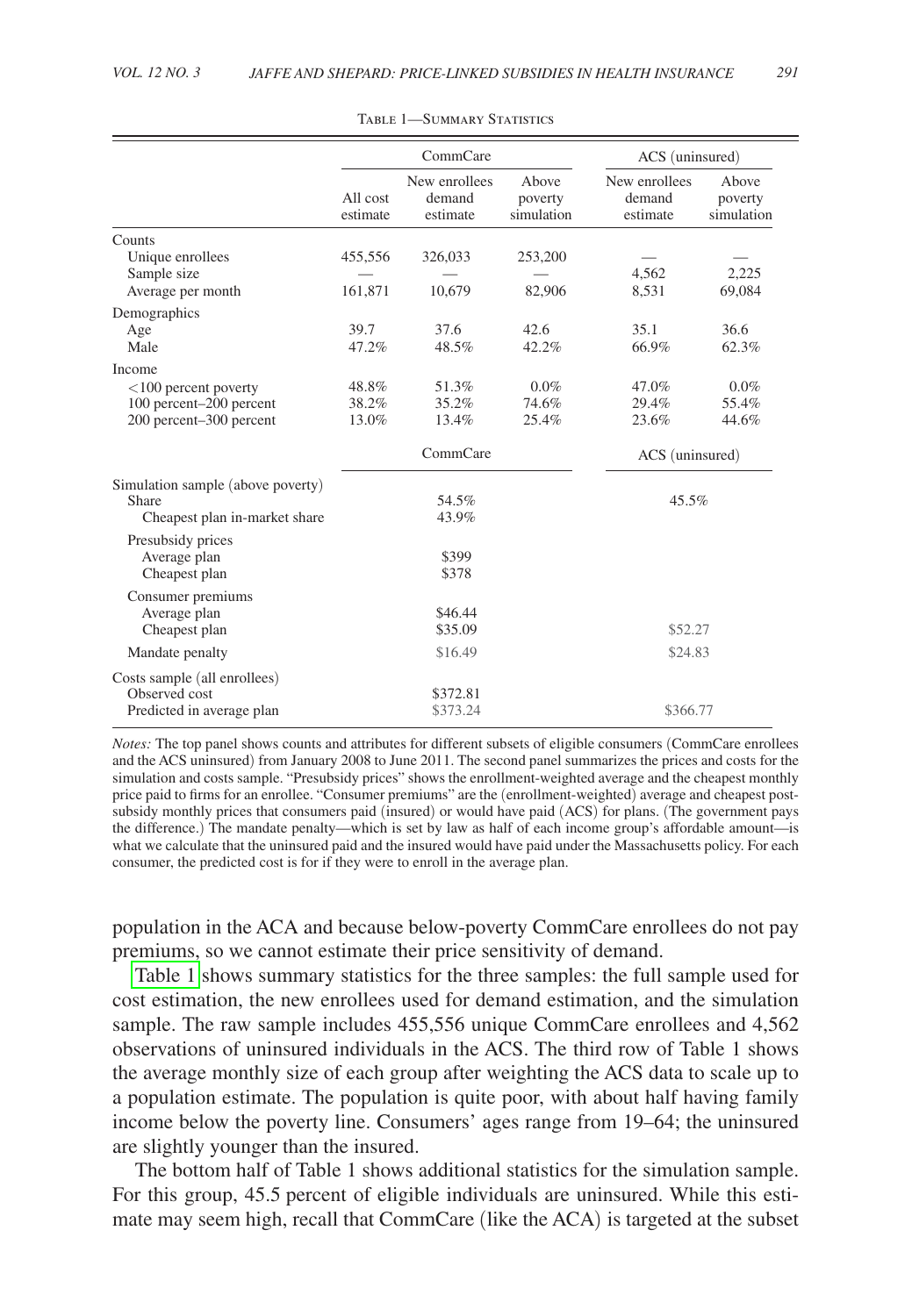<span id="page-12-0"></span>

|                                   |                      | CommCare                            | ACS (uninsured)                |                                     |                                |
|-----------------------------------|----------------------|-------------------------------------|--------------------------------|-------------------------------------|--------------------------------|
|                                   | All cost<br>estimate | New enrollees<br>demand<br>estimate | Above<br>poverty<br>simulation | New enrollees<br>demand<br>estimate | Above<br>poverty<br>simulation |
| Counts                            |                      |                                     |                                |                                     |                                |
| Unique enrollees                  | 455,556              | 326,033                             | 253,200                        |                                     |                                |
| Sample size                       |                      |                                     |                                | 4,562                               | 2,225                          |
| Average per month                 | 161,871              | 10,679                              | 82,906                         | 8,531                               | 69,084                         |
| Demographics                      |                      |                                     |                                |                                     |                                |
| Age                               | 39.7                 | 37.6                                | 42.6                           | 35.1                                | 36.6                           |
| Male                              | 47.2%                | 48.5%                               | 42.2%                          | 66.9%                               | 62.3%                          |
| Income                            |                      |                                     |                                |                                     |                                |
| $<$ 100 percent poverty           | 48.8%                | 51.3%                               | $0.0\%$                        | 47.0%                               | $0.0\%$                        |
| 100 percent-200 percent           | 38.2%                | 35.2%                               | 74.6%                          | 29.4%                               | 55.4%                          |
| 200 percent-300 percent           | 13.0%                | 13.4%                               | 25.4%                          | 23.6%                               | 44.6%                          |
|                                   |                      | CommCare                            |                                | ACS (uninsured)                     |                                |
| Simulation sample (above poverty) |                      |                                     |                                |                                     |                                |
| Share                             |                      | 54.5%                               |                                | 45.5%                               |                                |
| Cheapest plan in-market share     |                      | 43.9%                               |                                |                                     |                                |
| Presubsidy prices                 |                      |                                     |                                |                                     |                                |
| Average plan                      |                      | \$399                               |                                |                                     |                                |
| Cheapest plan                     |                      | \$378                               |                                |                                     |                                |
| Consumer premiums                 |                      |                                     |                                |                                     |                                |
| Average plan                      |                      | \$46.44                             |                                |                                     |                                |
| Cheapest plan                     |                      | \$35.09                             |                                | \$52.27                             |                                |
| Mandate penalty                   |                      | \$16.49                             |                                | \$24.83                             |                                |
| Costs sample (all enrollees)      |                      |                                     |                                |                                     |                                |
| Observed cost                     |                      | \$372.81                            |                                |                                     |                                |
| Predicted in average plan         |                      | \$373.24                            |                                | \$366.77                            |                                |

Table 1—Summary Statistics

*Notes:* The top panel shows counts and attributes for different subsets of eligible consumers (CommCare enrollees and the ACS uninsured) from January 2008 to June 2011. The second panel summarizes the prices and costs for the simulation and costs sample. "Presubsidy prices" shows the enrollment-weighted average and the cheapest monthly price paid to firms for an enrollee. "Consumer premiums" are the (enrollment-weighted) average and cheapest postsubsidy monthly prices that consumers paid (insured) or would have paid (ACS) for plans. (The government pays the difference.) The mandate penalty—which is set by law as half of each income group's affordable amount—is what we calculate that the uninsured paid and the insured would have paid under the Massachusetts policy. For each consumer, the predicted cost is for if they were to enroll in the average plan.

population in the ACA and because below-poverty CommCare enrollees do not pay premiums, so we cannot estimate their price sensitivity of demand.

[Table 1](#page-12-0) shows summary statistics for the three samples: the full sample used for cost estimation, the new enrollees used for demand estimation, and the simulation sample. The raw sample includes 455,556 unique CommCare enrollees and 4,562 observations of uninsured individuals in the ACS. The third row of Table 1 shows the average monthly size of each group after weighting the ACS data to scale up to a population estimate. The population is quite poor, with about half having family income below the poverty line. Consumers' ages range from 19–64; the uninsured are slightly younger than the insured.

The bottom half of Table 1 shows additional statistics for the simulation sample. For this group, 45.5 percent of eligible individuals are uninsured. While this estimate may seem high, recall that CommCare (like the ACA) is targeted at the subset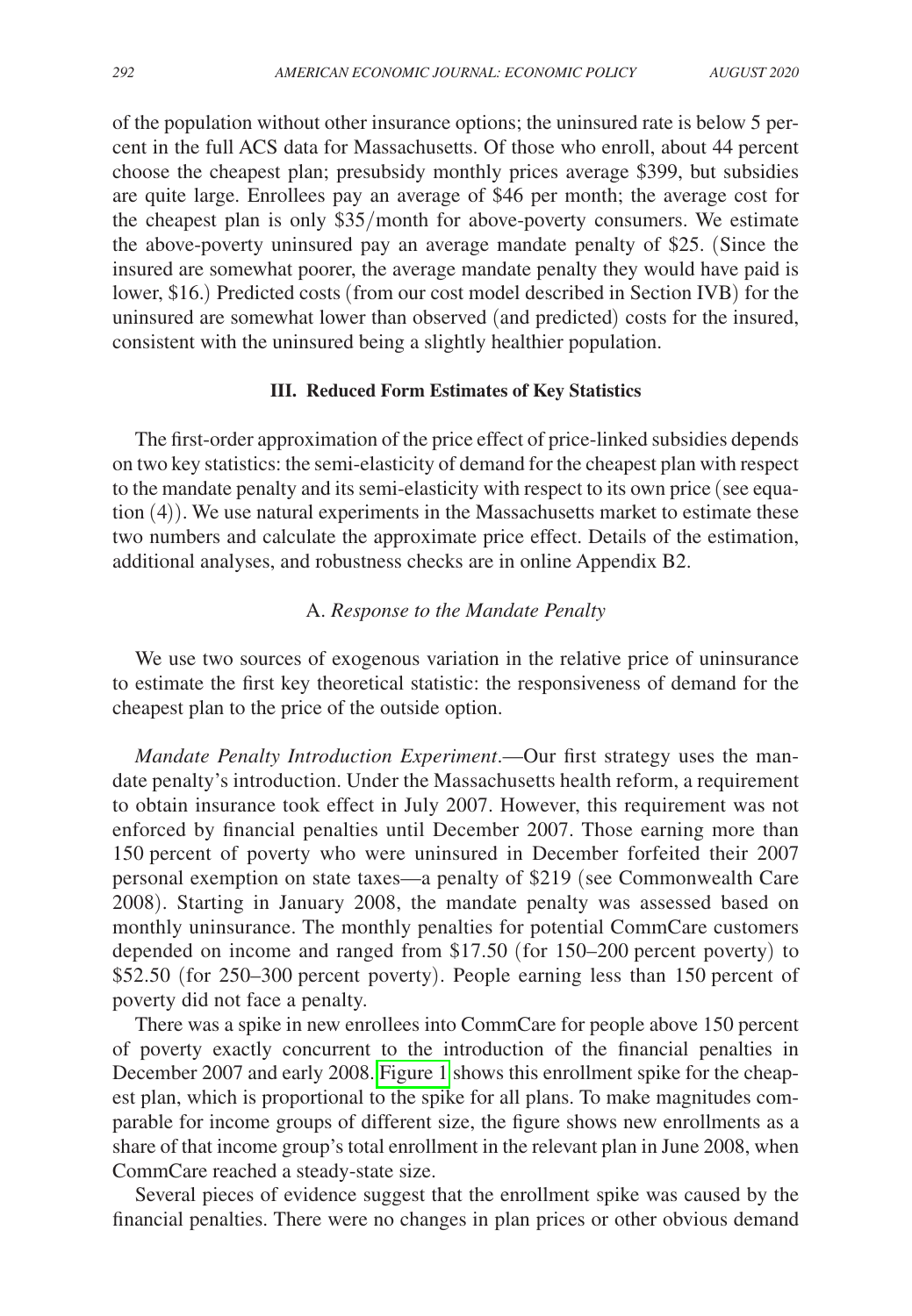of the population without other insurance options; the uninsured rate is below 5 percent in the full ACS data for Massachusetts. Of those who enroll, about 44 percent choose the cheapest plan; presubsidy monthly prices average \$399, but subsidies are quite large. Enrollees pay an average of \$46 per month; the average cost for the cheapest plan is only \$35/month for above-poverty consumers. We estimate the above-poverty uninsured pay an average mandate penalty of \$25. (Since the insured are somewhat poorer, the average mandate penalty they would have paid is lower, \$16.) Predicted costs (from our cost model described in Section IVB) for the uninsured are somewhat lower than observed (and predicted) costs for the insured, consistent with the uninsured being a slightly healthier population.

#### **III. Reduced Form Estimates of Key Statistics**

The first-order approximation of the price effect of price-linked subsidies depends on two key statistics: the semi-elasticity of demand for the cheapest plan with respect to the mandate penalty and its semi-elasticity with respect to its own price (see equation (4)). We use natural experiments in the Massachusetts market to estimate these two numbers and calculate the approximate price effect. Details of the estimation, additional analyses, and robustness checks are in online Appendix B2.

## A. *Response to the Mandate Penalty*

We use two sources of exogenous variation in the relative price of uninsurance to estimate the first key theoretical statistic: the responsiveness of demand for the cheapest plan to the price of the outside option.

*Mandate Penalty Introduction Experiment*.—Our first strategy uses the mandate penalty's introduction. Under the Massachusetts health reform, a requirement to obtain insurance took effect in July 2007. However, this requirement was not enforced by financial penalties until December 2007. Those earning more than 150 percent of poverty who were uninsured in December forfeited their 2007 personal exemption on state taxes—a penalty of \$219 (see Commonwealth Care 2008). Starting in January 2008, the mandate penalty was assessed based on monthly uninsurance. The monthly penalties for potential CommCare customers depended on income and ranged from \$17.50 (for 150–200 percent poverty) to \$52.50 (for 250–300 percent poverty). People earning less than 150 percent of poverty did not face a penalty.

There was a spike in new enrollees into CommCare for people above 150 percent of poverty exactly concurrent to the introduction of the financial penalties in December 2007 and early 2008. [Figure 1](#page-14-0) shows this enrollment spike for the cheapest plan, which is proportional to the spike for all plans. To make magnitudes comparable for income groups of different size, the figure shows new enrollments as a share of that income group's total enrollment in the relevant plan in June 2008, when CommCare reached a steady-state size.

Several pieces of evidence suggest that the enrollment spike was caused by the financial penalties. There were no changes in plan prices or other obvious demand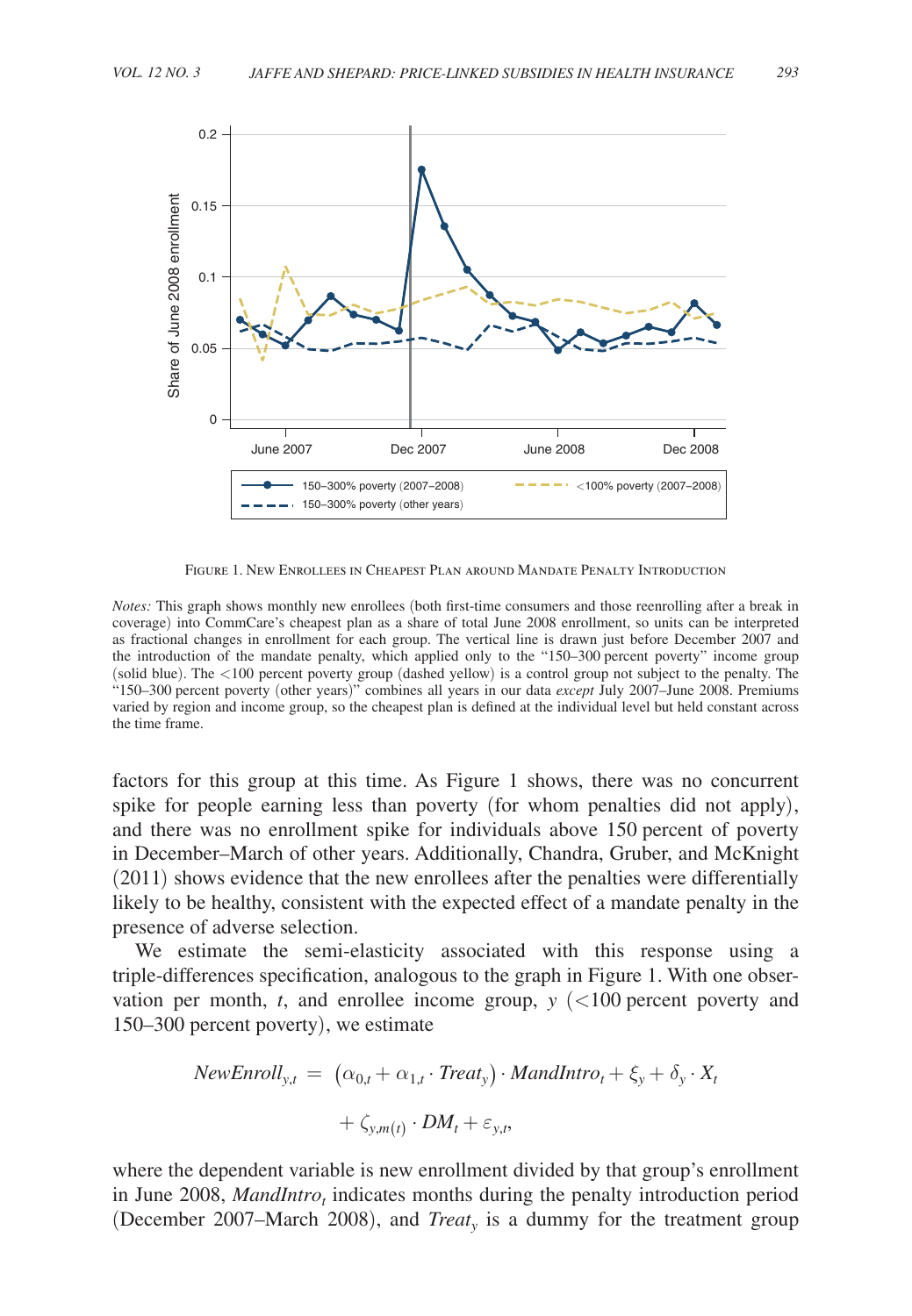<span id="page-14-0"></span>

Figure 1. New Enrollees in Cheapest Plan around Mandate Penalty Introduction

*Notes:* This graph shows monthly new enrollees (both first-time consumers and those reenrolling after a break in coverage) into CommCare's cheapest plan as a share of total June 2008 enrollment, so units can be interpreted as fractional changes in enrollment for each group. The vertical line is drawn just before December 2007 and the introduction of the mandate penalty, which applied only to the "150–300 percent poverty" income group (solid blue). The <100 percent poverty group (dashed yellow) is a control group not subject to the penalty. The "150–300 percent poverty (other years)" combines all years in our data *except* July 2007–June 2008. Premiums varied by region and income group, so the cheapest plan is defined at the individual level but held constant across the time frame.

factors for this group at this time. As Figure 1 shows, there was no concurrent spike for people earning less than poverty (for whom penalties did not apply), and there was no enrollment spike for individuals above 150 percent of poverty in December–March of other years. Additionally, Chandra, Gruber, and McKnight (2011) shows evidence that the new enrollees after the penalties were differentially likely to be healthy, consistent with the expected effect of a mandate penalty in the presence of adverse selection.

We estimate the semi-elasticity associated with this response using a triple-differences specification, analogous to the graph in Figure 1. With one observation per month,  $t$ , and enrollee income group,  $y$  ( $\lt 100$  percent poverty and 150–300 percent poverty), we estimate

$$
NewEnroll_{y,t} = (\alpha_{0,t} + \alpha_{1,t} \cdot Treat_y) \cdot MandIntro_t + \xi_y + \delta_y \cdot X_t + \zeta_{y,m(t)} \cdot DM_t + \varepsilon_{y,t},
$$

where the dependent variable is new enrollment divided by that group's enrollment in June 2008, *MandIntro<sub>t</sub>* indicates months during the penalty introduction period (December 2007–March 2008), and *Treaty* is a dummy for the treatment group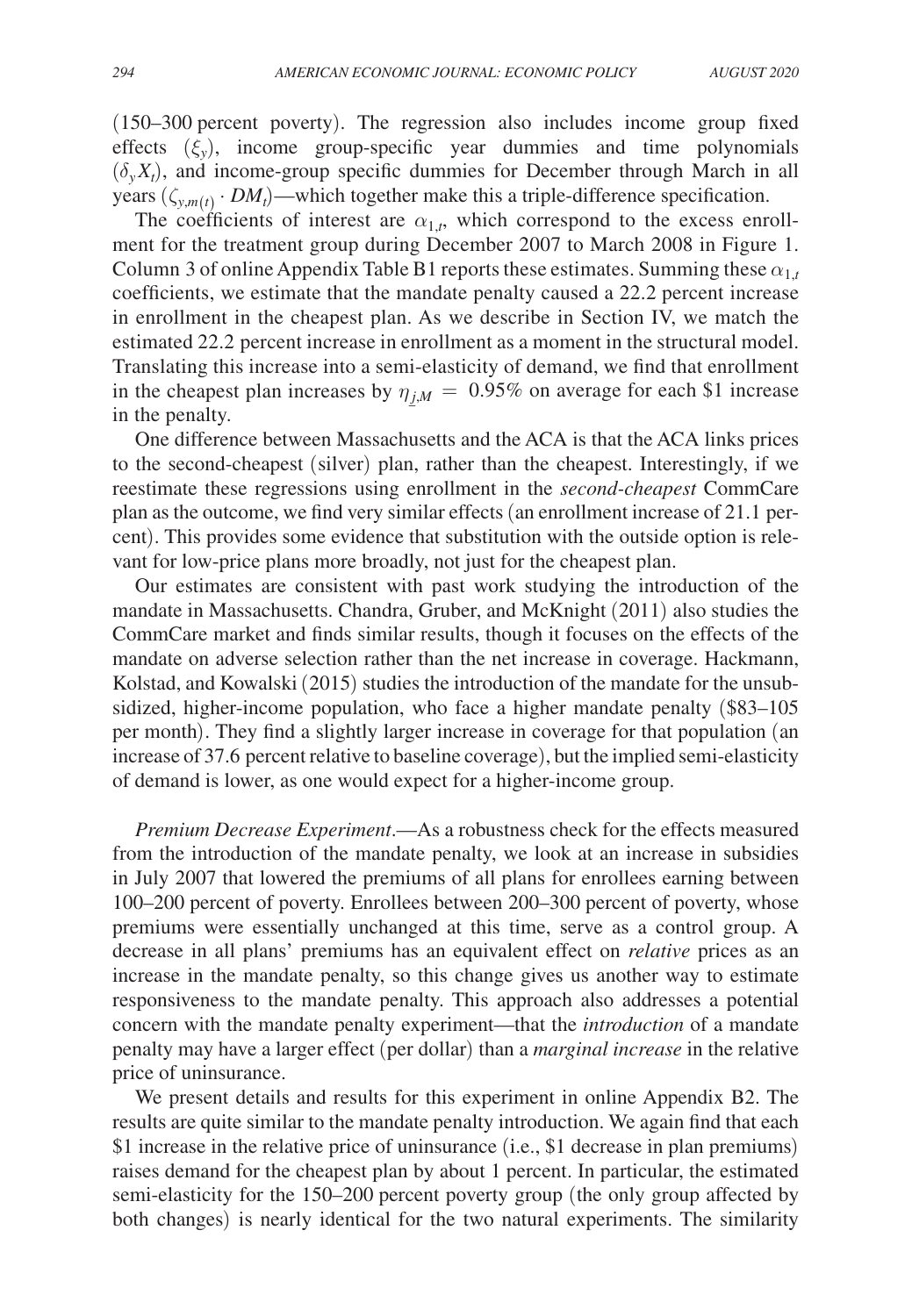(150–300 percent poverty). The regression also includes income group fixed effects  $(\xi_v)$ , income group-specific year dummies and time polynomials  $(\delta_y X_t)$ , and income-group specific dummies for December through March in all years  $(\zeta_{y,m(t)} \cdot DM_t)$ —which together make this a triple-difference specification.

The coefficients of interest are  $\alpha_{1,t}$ , which correspond to the excess enrollment for the treatment group during December 2007 to March 2008 in Figure 1. Column 3 of online Appendix Table B1 reports these estimates. Summing these  $\alpha_{1,t}$ coefficients, we estimate that the mandate penalty caused a 22.2 percent increase in enrollment in the cheapest plan. As we describe in Section IV, we match the estimated 22.2 percent increase in enrollment as a moment in the structural model. Translating this increase into a semi-elasticity of demand, we find that enrollment in the cheapest plan increases by  $\eta_{j,M} = 0.95\%$  on average for each \$1 increase in the penalty.

One difference between Massachusetts and the ACA is that the ACA links prices to the second-cheapest (silver) plan, rather than the cheapest. Interestingly, if we reestimate these regressions using enrollment in the *second-cheapest* CommCare plan as the outcome, we find very similar effects (an enrollment increase of 21.1 percent). This provides some evidence that substitution with the outside option is relevant for low-price plans more broadly, not just for the cheapest plan.

Our estimates are consistent with past work studying the introduction of the mandate in Massachusetts. Chandra, Gruber, and McKnight (2011) also studies the CommCare market and finds similar results, though it focuses on the effects of the mandate on adverse selection rather than the net increase in coverage. Hackmann, Kolstad, and Kowalski (2015) studies the introduction of the mandate for the unsubsidized, higher-income population, who face a higher mandate penalty (\$83–105 per month). They find a slightly larger increase in coverage for that population (an increase of 37.6 percent relative to baseline coverage), but the implied semi-elasticity of demand is lower, as one would expect for a higher-income group.

*Premium Decrease Experiment*.—As a robustness check for the effects measured from the introduction of the mandate penalty, we look at an increase in subsidies in July 2007 that lowered the premiums of all plans for enrollees earning between 100–200 percent of poverty. Enrollees between 200–300 percent of poverty, whose premiums were essentially unchanged at this time, serve as a control group. A decrease in all plans' premiums has an equivalent effect on *relative* prices as an increase in the mandate penalty, so this change gives us another way to estimate responsiveness to the mandate penalty. This approach also addresses a potential concern with the mandate penalty experiment—that the *introduction* of a mandate penalty may have a larger effect (per dollar) than a *marginal increase* in the relative price of uninsurance.

We present details and results for this experiment in online Appendix B2. The results are quite similar to the mandate penalty introduction. We again find that each \$1 increase in the relative price of uninsurance (i.e., \$1 decrease in plan premiums) raises demand for the cheapest plan by about 1 percent. In particular, the estimated semi-elasticity for the 150–200 percent poverty group (the only group affected by both changes) is nearly identical for the two natural experiments. The similarity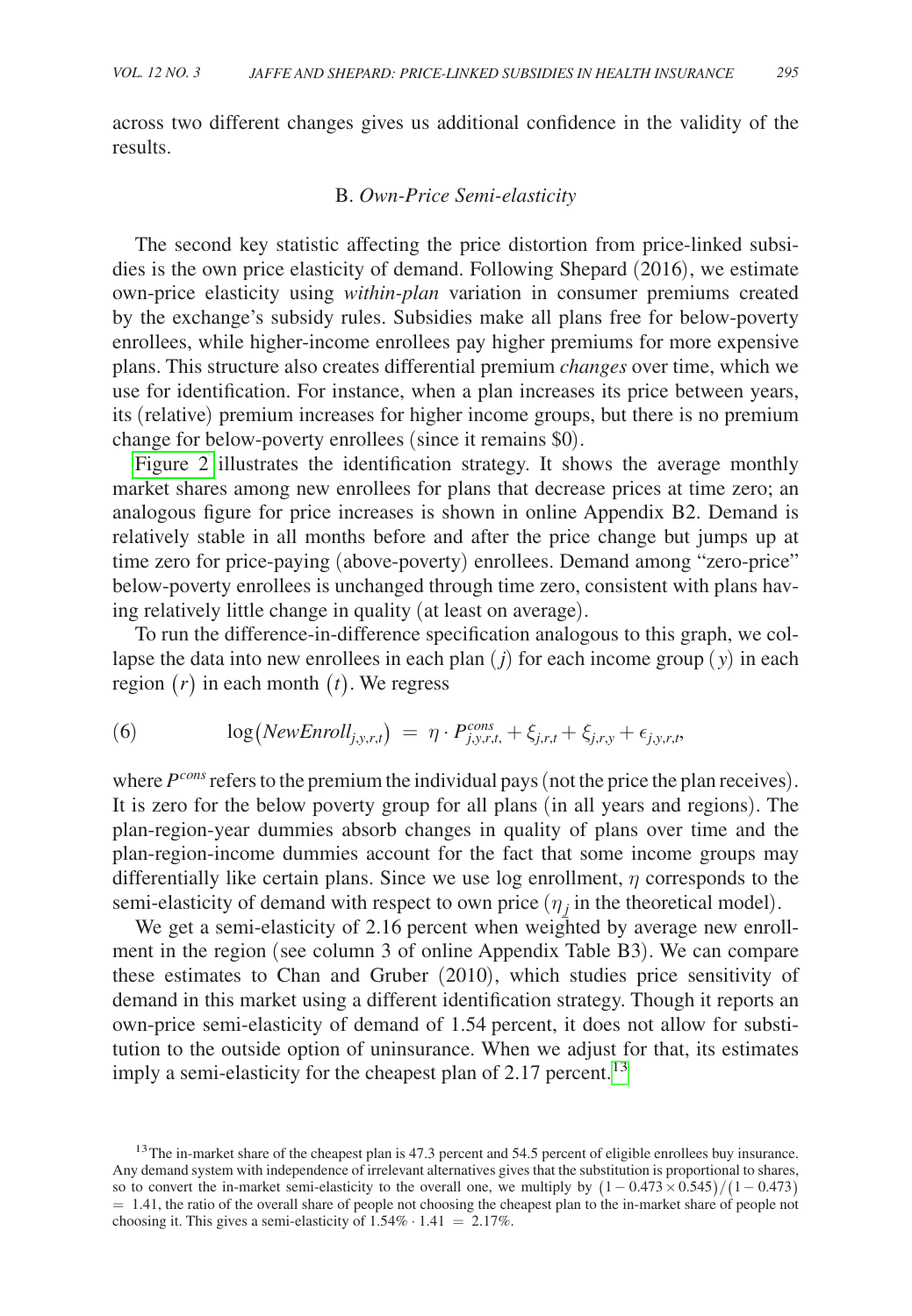across two different changes gives us additional confidence in the validity of the results.

### B. *Own-Price Semi-elasticity*

The second key statistic affecting the price distortion from price-linked subsidies is the own price elasticity of demand. Following Shepard (2016), we estimate own-price elasticity using *within-plan* variation in consumer premiums created by the exchange's subsidy rules. Subsidies make all plans free for below-poverty enrollees, while higher-income enrollees pay higher premiums for more expensive plans. This structure also creates differential premium *changes* over time, which we use for identification. For instance, when a plan increases its price between years, its (relative) premium increases for higher income groups, but there is no premium change for below-poverty enrollees (since it remains \$0).

Figure 2 illustrates the identification strategy. It shows the average monthly market shares among new enrollees for plans that decrease prices at time zero; an analogous figure for price increases is shown in online Appendix B2. Demand is relatively stable in all months before and after the price change but jumps up at time zero for price-paying (above-poverty) enrollees. Demand among "zero-price" below-poverty enrollees is unchanged through time zero, consistent with plans having relatively little change in quality (at least on average).

To run the difference-in-difference specification analogous to this graph, we collapse the data into new enrollees in each plan (*j*) for each income group ( *y*) in each region (*r*) in each month (*t*). We regress

(6) 
$$
\log(NewEnroll_{j,y,r,t}) = \eta \cdot P_{j,y,r,t}^{cons} + \xi_{j,r,t} + \xi_{j,r,y} + \epsilon_{j,y,r,t},
$$

where  $P^{cons}$  refers to the premium the individual pays (not the price the plan receives). It is zero for the below poverty group for all plans (in all years and regions). The plan-region-year dummies absorb changes in quality of plans over time and the plan-region-income dummies account for the fact that some income groups may differentially like certain plans. Since we use log enrollment,  $\eta$  corresponds to the semi-elasticity of demand with respect to own price  $(\eta_j$  in the theoretical model).

We get a semi-elasticity of 2.16 percent when weighted by average new enrollment in the region (see column 3 of online Appendix Table B3). We can compare these estimates to Chan and Gruber (2010), which studies price sensitivity of demand in this market using a different identification strategy. Though it reports an own-price semi-elasticity of demand of 1.54 percent, it does not allow for substitution to the outside option of uninsurance. When we adjust for that, its estimates imply a semi-elasticity for the cheapest plan of  $2.17$  percent.<sup>[13](#page-16-0)</sup>

<span id="page-16-0"></span><sup>&</sup>lt;sup>13</sup>The in-market share of the cheapest plan is 47.3 percent and 54.5 percent of eligible enrollees buy insurance. Any demand system with independence of irrelevant alternatives gives that the substitution is proportional to shares, so to convert the in-market semi-elasticity to the overall one, we multiply by  $(1 - 0.473 \times 0.545)/(1 - 0.473)$  $= 1.41$ , the ratio of the overall share of people not choosing the cheapest plan to the in-market share of people not choosing it. This gives a semi-elasticity of  $1.54\% \cdot 1.41 = 2.17\%$ .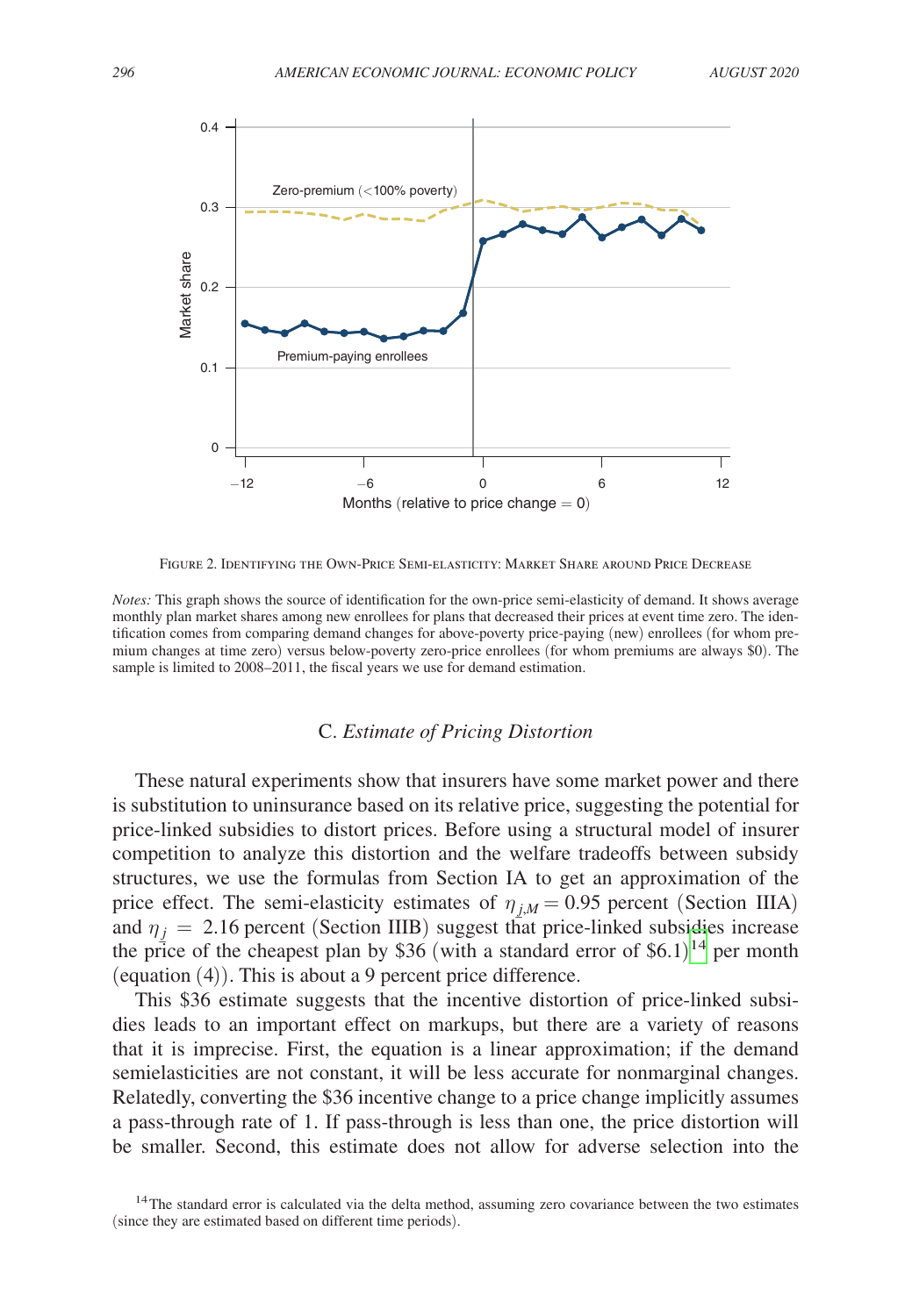<span id="page-17-0"></span>

Figure 2. Identifying the Own-Price Semi-elasticity: Market Share around Price Decrease

*Notes:* This graph shows the source of identification for the own-price semi-elasticity of demand. It shows average monthly plan market shares among new enrollees for plans that decreased their prices at event time zero. The identification comes from comparing demand changes for above-poverty price-paying (new) enrollees (for whom premium changes at time zero) versus below-poverty zero-price enrollees (for whom premiums are always \$0). The sample is limited to 2008–2011, the fiscal years we use for demand estimation.

## C. *Estimate of Pricing Distortion*

These natural experiments show that insurers have some market power and there is substitution to uninsurance based on its relative price, suggesting the potential for price-linked subsidies to distort prices. Before using a structural model of insurer competition to analyze this distortion and the welfare tradeoffs between subsidy structures, we use the formulas from Section IA to get an approximation of the price effect. The semi-elasticity estimates of  $\eta_{j,M} = 0.95$  percent (Section IIIA) and  $\eta_j = 2.16$  percent (Section IIIB) suggest that price-linked subsidies increase the price of the cheapest plan by  $$36$  (with a standard error of  $$6.1$ )<sup>14</sup> per month (equation (4)). This is about a 9 percent price difference.

This \$36 estimate suggests that the incentive distortion of price-linked subsidies leads to an important effect on markups, but there are a variety of reasons that it is imprecise. First, the equation is a linear approximation; if the demand semielasticities are not constant, it will be less accurate for nonmarginal changes. Relatedly, converting the \$36 incentive change to a price change implicitly assumes a pass-through rate of 1. If pass-through is less than one, the price distortion will be smaller. Second, this estimate does not allow for adverse selection into the

<span id="page-17-1"></span><sup>&</sup>lt;sup>14</sup>The standard error is calculated via the delta method, assuming zero covariance between the two estimates (since they are estimated based on different time periods).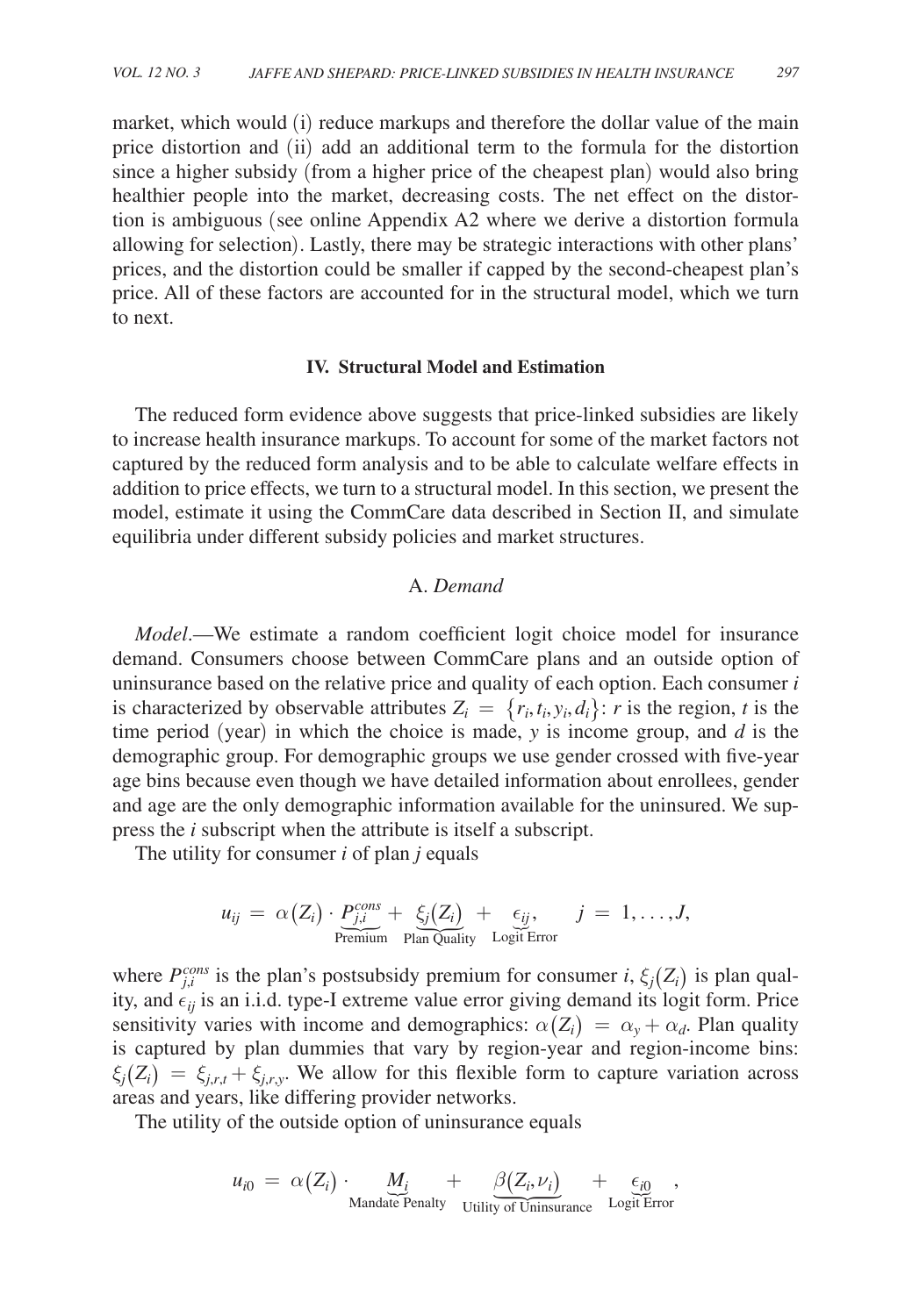market, which would (i) reduce markups and therefore the dollar value of the main price distortion and (ii) add an additional term to the formula for the distortion since a higher subsidy (from a higher price of the cheapest plan) would also bring healthier people into the market, decreasing costs. The net effect on the distortion is ambiguous (see online Appendix A2 where we derive a distortion formula allowing for selection). Lastly, there may be strategic interactions with other plans' prices, and the distortion could be smaller if capped by the second-cheapest plan's price. All of these factors are accounted for in the structural model, which we turn to next.

#### **IV. Structural Model and Estimation**

The reduced form evidence above suggests that price-linked subsidies are likely to increase health insurance markups. To account for some of the market factors not captured by the reduced form analysis and to be able to calculate welfare effects in addition to price effects, we turn to a structural model. In this section, we present the model, estimate it using the CommCare data described in Section II, and simulate equilibria under different subsidy policies and market structures.

### A. *Demand*

*Model*.—We estimate a random coefficient logit choice model for insurance demand. Consumers choose between CommCare plans and an outside option of uninsurance based on the relative price and quality of each option. Each consumer *i* is characterized by observable attributes  $Z_i = \{r_i, t_i, y_i, d_i\}$ : *r* is the region, *t* is the time period (year) in which the choice is made, *y* is income group, and *d* is the demographic group. For demographic groups we use gender crossed with five-year age bins because even though we have detailed information about enrollees, gender and age are the only demographic information available for the uninsured. We suppress the *i* subscript when the attribute is itself a subscript.

The utility for consumer *i* of plan *j* equals

$$
u_{ij} = \alpha(Z_i) \cdot \underbrace{P_{j,i}^{cons}}_{\text{Premium}} + \underbrace{\xi_j(Z_i)}_{\text{Plan\,\tilde{Quality}}}\ + \underbrace{\epsilon_{ij}}_{\text{Logit Error}}, \quad j = 1, \ldots, J,
$$

where  $P_{j,i}^{cons}$  is the plan's postsubsidy premium for consumer *i*,  $\xi_j(Z_i)$  is plan quality, and  $\epsilon_{ii}$  is an i.i.d. type-I extreme value error giving demand its logit form. Price sensitivity varies with income and demographics:  $\alpha(Z_i) = \alpha_y + \alpha_d$ . Plan quality is captured by plan dummies that vary by region-year and region-income bins:  $\xi_i(Z_i) = \xi_{i,r,t} + \xi_{i,r,y}$ . We allow for this flexible form to capture variation across areas and years, like differing provider networks.

The utility of the outside option of uninsurance equals

$$
u_{i0} = \alpha(Z_i) \cdot \underbrace{M_i}_{\text{Mandate Penalty}} + \underbrace{\beta(Z_i, \nu_i)}_{\text{Utility of Uniisurance}} + \underbrace{\epsilon_{i0}}_{\text{Logit Error}},
$$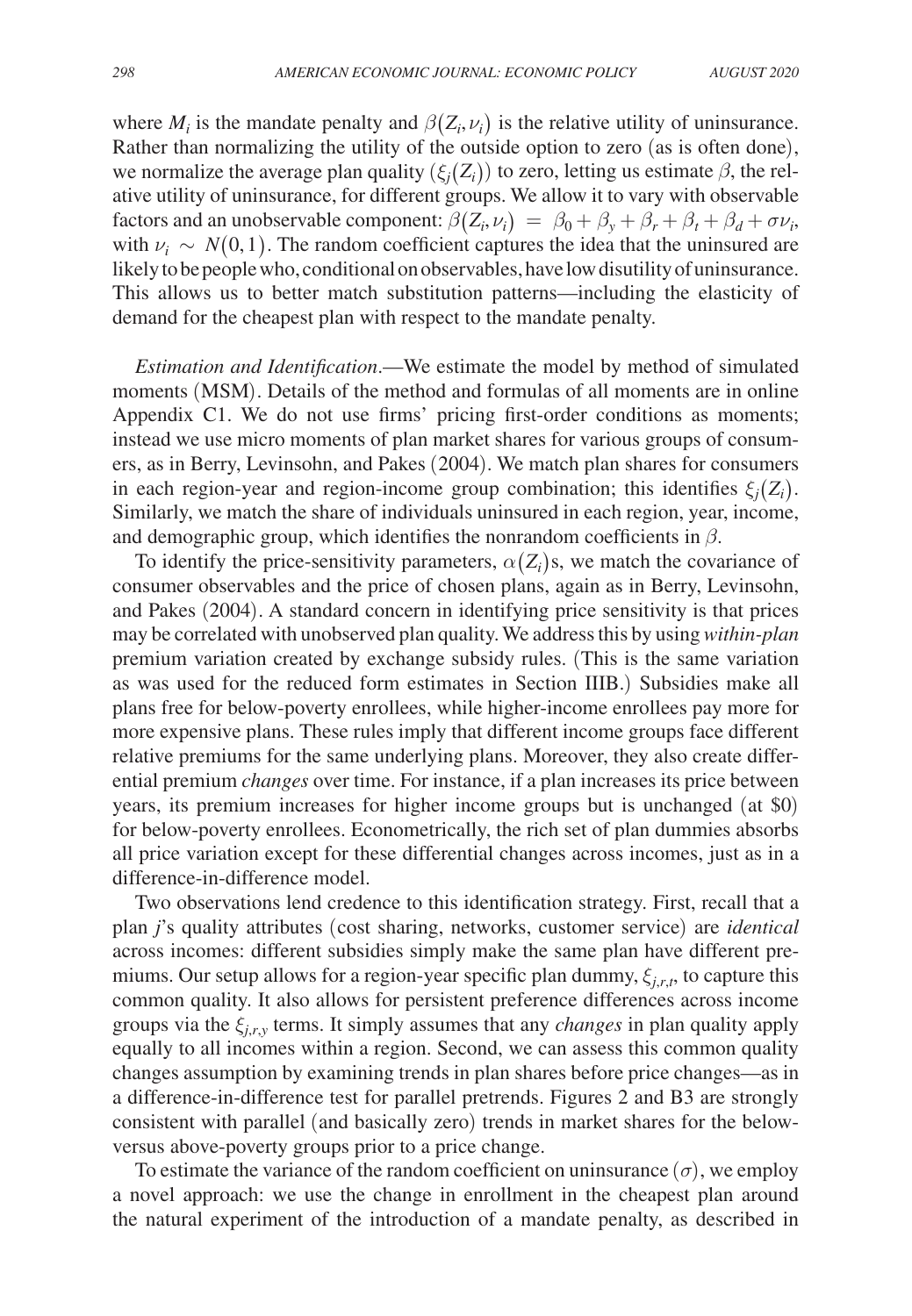where  $M_i$  is the mandate penalty and  $\beta(Z_i, \nu_i)$  is the relative utility of uninsurance. Rather than normalizing the utility of the outside option to zero (as is often done), we normalize the average plan quality  $(\xi_i(Z_i))$  to zero, letting us estimate  $\beta$ , the relative utility of uninsurance, for different groups. We allow it to vary with observable factors and an unobservable component:  $\beta(Z_i, \nu_i) = \beta_0 + \beta_y + \beta_r + \beta_t + \beta_d + \sigma \nu_i$ , with  $\nu_i \sim N(0, 1)$ . The random coefficient captures the idea that the uninsured are likely to be people who, conditional on observables, have low disutility of uninsurance. This allows us to better match substitution patterns—including the elasticity of demand for the cheapest plan with respect to the mandate penalty.

*Estimation and Identification*.—We estimate the model by method of simulated moments (MSM). Details of the method and formulas of all moments are in online Appendix C1. We do not use firms' pricing first-order conditions as moments; instead we use micro moments of plan market shares for various groups of consumers, as in Berry, Levinsohn, and Pakes (2004). We match plan shares for consumers in each region-year and region-income group combination; this identifies  $\xi_i(Z_i)$ . Similarly, we match the share of individuals uninsured in each region, year, income, and demographic group, which identifies the nonrandom coefficients in  $\beta$ .

To identify the price-sensitivity parameters,  $\alpha(Z_i)$ s, we match the covariance of consumer observables and the price of chosen plans, again as in Berry, Levinsohn, and Pakes (2004). A standard concern in identifying price sensitivity is that prices may be correlated with unobserved plan quality. We address this by using *within-plan* premium variation created by exchange subsidy rules. (This is the same variation as was used for the reduced form estimates in Section IIIB.) Subsidies make all plans free for below-poverty enrollees, while higher-income enrollees pay more for more expensive plans. These rules imply that different income groups face different relative premiums for the same underlying plans. Moreover, they also create differential premium *changes* over time. For instance, if a plan increases its price between years, its premium increases for higher income groups but is unchanged (at \$0) for below-poverty enrollees. Econometrically, the rich set of plan dummies absorbs all price variation except for these differential changes across incomes, just as in a difference-in-difference model.

Two observations lend credence to this identification strategy. First, recall that a plan *j*'s quality attributes (cost sharing, networks, customer service) are *identical* across incomes: different subsidies simply make the same plan have different premiums. Our setup allows for a region-year specific plan dummy,  $\xi_{j,r,t}$ , to capture this common quality. It also allows for persistent preference differences across income groups via the ξ*j*,*r*,*y* terms. It simply assumes that any *changes* in plan quality apply equally to all incomes within a region. Second, we can assess this common quality changes assumption by examining trends in plan shares before price changes—as in a difference-in-difference test for parallel pretrends. Figures 2 and B3 are strongly consistent with parallel (and basically zero) trends in market shares for the belowversus above-poverty groups prior to a price change.

To estimate the variance of the random coefficient on uninsurance  $(\sigma)$ , we employ a novel approach: we use the change in enrollment in the cheapest plan around the natural experiment of the introduction of a mandate penalty, as described in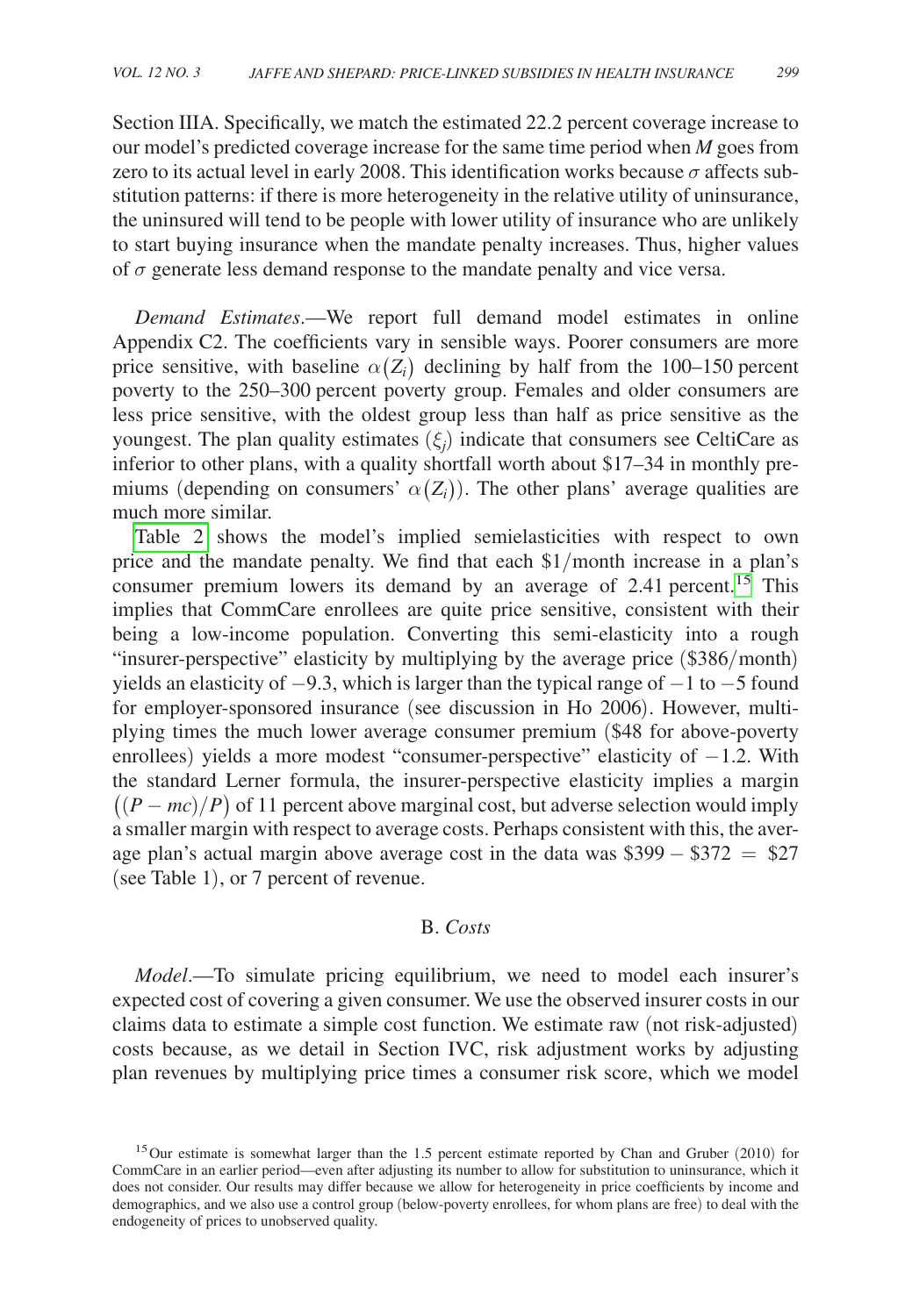Section IIIA. Specifically, we match the estimated 22.2 percent coverage increase to our model's predicted coverage increase for the same time period when *M* goes from zero to its actual level in early 2008. This identification works because  $\sigma$  affects substitution patterns: if there is more heterogeneity in the relative utility of uninsurance, the uninsured will tend to be people with lower utility of insurance who are unlikely to start buying insurance when the mandate penalty increases. Thus, higher values of  $\sigma$  generate less demand response to the mandate penalty and vice versa.

*Demand Estimates*.—We report full demand model estimates in online Appendix C2. The coefficients vary in sensible ways. Poorer consumers are more price sensitive, with baseline  $\alpha(Z_i)$  declining by half from the 100–150 percent poverty to the 250–300 percent poverty group. Females and older consumers are less price sensitive, with the oldest group less than half as price sensitive as the youngest. The plan quality estimates  $(\xi_j)$  indicate that consumers see CeltiCare as inferior to other plans, with a quality shortfall worth about \$17–34 in monthly premiums (depending on consumers'  $\alpha(Z_i)$ ). The other plans' average qualities are much more similar.

[Table 2](#page-21-0) shows the model's implied semielasticities with respect to own price and the mandate penalty. We find that each \$1/month increase in a plan's consumer premium lowers its demand by an average of  $2.41$  percent.<sup>15</sup> This implies that CommCare enrollees are quite price sensitive, consistent with their being a low-income population. Converting this semi-elasticity into a rough "insurer-perspective" elasticity by multiplying by the average price (\$386/month) yields an elasticity of −9.3, which is larger than the typical range of −1 to −5 found for employer-sponsored insurance (see discussion in Ho 2006). However, multiplying times the much lower average consumer premium (\$48 for above-poverty enrollees) yields a more modest "consumer-perspective" elasticity of −1.2. With the standard Lerner formula, the insurer-perspective elasticity implies a margin  $((P - mc)/P)$  of 11 percent above marginal cost, but adverse selection would imply a smaller margin with respect to average costs. Perhaps consistent with this, the average plan's actual margin above average cost in the data was \$399 − \$372 = \$27 (see Table 1), or 7 percent of revenue.

## B. *Costs*

*Model*.—To simulate pricing equilibrium, we need to model each insurer's expected cost of covering a given consumer. We use the observed insurer costs in our claims data to estimate a simple cost function. We estimate raw (not risk-adjusted) costs because, as we detail in Section IVC, risk adjustment works by adjusting plan revenues by multiplying price times a consumer risk score, which we model

<span id="page-20-0"></span><sup>&</sup>lt;sup>15</sup>Our estimate is somewhat larger than the 1.5 percent estimate reported by Chan and Gruber (2010) for CommCare in an earlier period—even after adjusting its number to allow for substitution to uninsurance, which it does not consider. Our results may differ because we allow for heterogeneity in price coefficients by income and demographics, and we also use a control group (below-poverty enrollees, for whom plans are free) to deal with the endogeneity of prices to unobserved quality.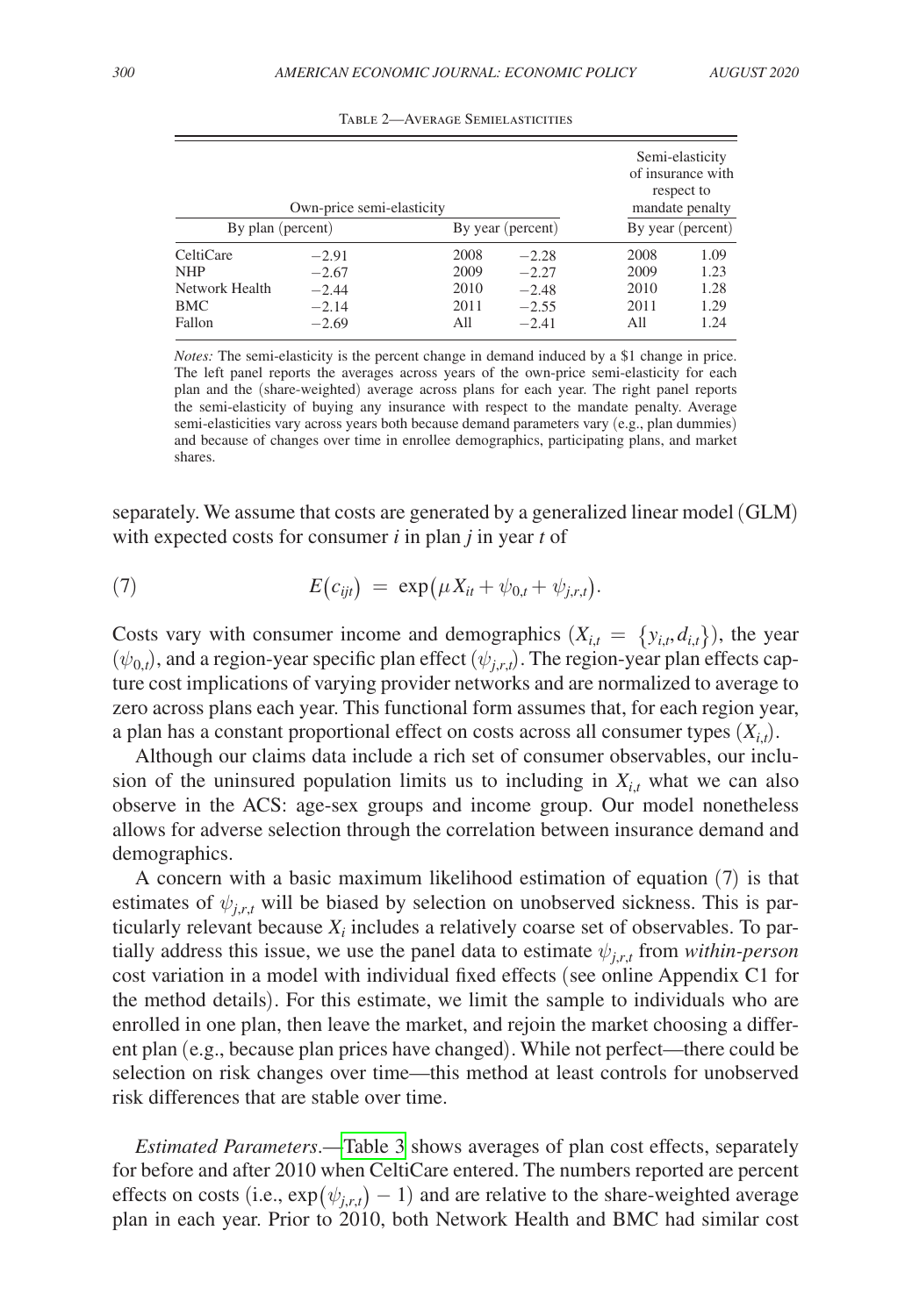<span id="page-21-0"></span>

| By plan (percent)                                | Own-price semi-elasticity                | By year (percent)            | Semi-elasticity<br>of insurance with<br>respect to<br>mandate penalty<br>By year (percent) |                              |                              |
|--------------------------------------------------|------------------------------------------|------------------------------|--------------------------------------------------------------------------------------------|------------------------------|------------------------------|
|                                                  |                                          |                              |                                                                                            |                              |                              |
| CeltiCare<br><b>NHP</b><br>Network Health<br>BMC | $-2.91$<br>$-2.67$<br>$-2.44$<br>$-2.14$ | 2008<br>2009<br>2010<br>2011 | $-2.28$<br>$-2.27$<br>$-2.48$<br>$-2.55$                                                   | 2008<br>2009<br>2010<br>2011 | 1.09<br>1.23<br>1.28<br>1.29 |
| Fallon                                           | $-2.69$                                  | All                          | $-2.41$                                                                                    | All                          | 1.24                         |

Table 2—Average Semielasticities

*Notes:* The semi-elasticity is the percent change in demand induced by a \$1 change in price. The left panel reports the averages across years of the own-price semi-elasticity for each plan and the (share-weighted) average across plans for each year. The right panel reports the semi-elasticity of buying any insurance with respect to the mandate penalty. Average semi-elasticities vary across years both because demand parameters vary (e.g., plan dummies) and because of changes over time in enrollee demographics, participating plans, and market shares.

separately. We assume that costs are generated by a generalized linear model (GLM) with expected costs for consumer *i* in plan *j* in year *t* of

(7) 
$$
E(c_{ijt}) = \exp(\mu X_{it} + \psi_{0,t} + \psi_{j,r,t}).
$$

Costs vary with consumer income and demographics  $(X_{i,t} = \{y_{i,t}, d_{i,t}\})$ , the year  $(\psi_{0,t})$ , and a region-year specific plan effect  $(\psi_{j,r,t})$ . The region-year plan effects capture cost implications of varying provider networks and are normalized to average to zero across plans each year. This functional form assumes that, for each region year, a plan has a constant proportional effect on costs across all consumer types  $(X_{i,t})$ .

Although our claims data include a rich set of consumer observables, our inclusion of the uninsured population limits us to including in  $X_{i,t}$  what we can also observe in the ACS: age-sex groups and income group. Our model nonetheless allows for adverse selection through the correlation between insurance demand and demographics.

A concern with a basic maximum likelihood estimation of equation (7) is that estimates of  $\psi_{j,r,t}$  will be biased by selection on unobserved sickness. This is particularly relevant because  $X_i$  includes a relatively coarse set of observables. To partially address this issue, we use the panel data to estimate  $\psi_{j,r,t}$  from *within-person* cost variation in a model with individual fixed effects (see online Appendix C1 for the method details). For this estimate, we limit the sample to individuals who are enrolled in one plan, then leave the market, and rejoin the market choosing a different plan (e.g., because plan prices have changed). While not perfect—there could be selection on risk changes over time—this method at least controls for unobserved risk differences that are stable over time.

*Estimated Parameters*.[—Table 3](#page-22-0) shows averages of plan cost effects, separately for before and after 2010 when CeltiCare entered. The numbers reported are percent effects on costs (i.e.,  $\exp(\psi_{j,r,t}) - 1$ ) and are relative to the share-weighted average plan in each year. Prior to 2010, both Network Health and BMC had similar cost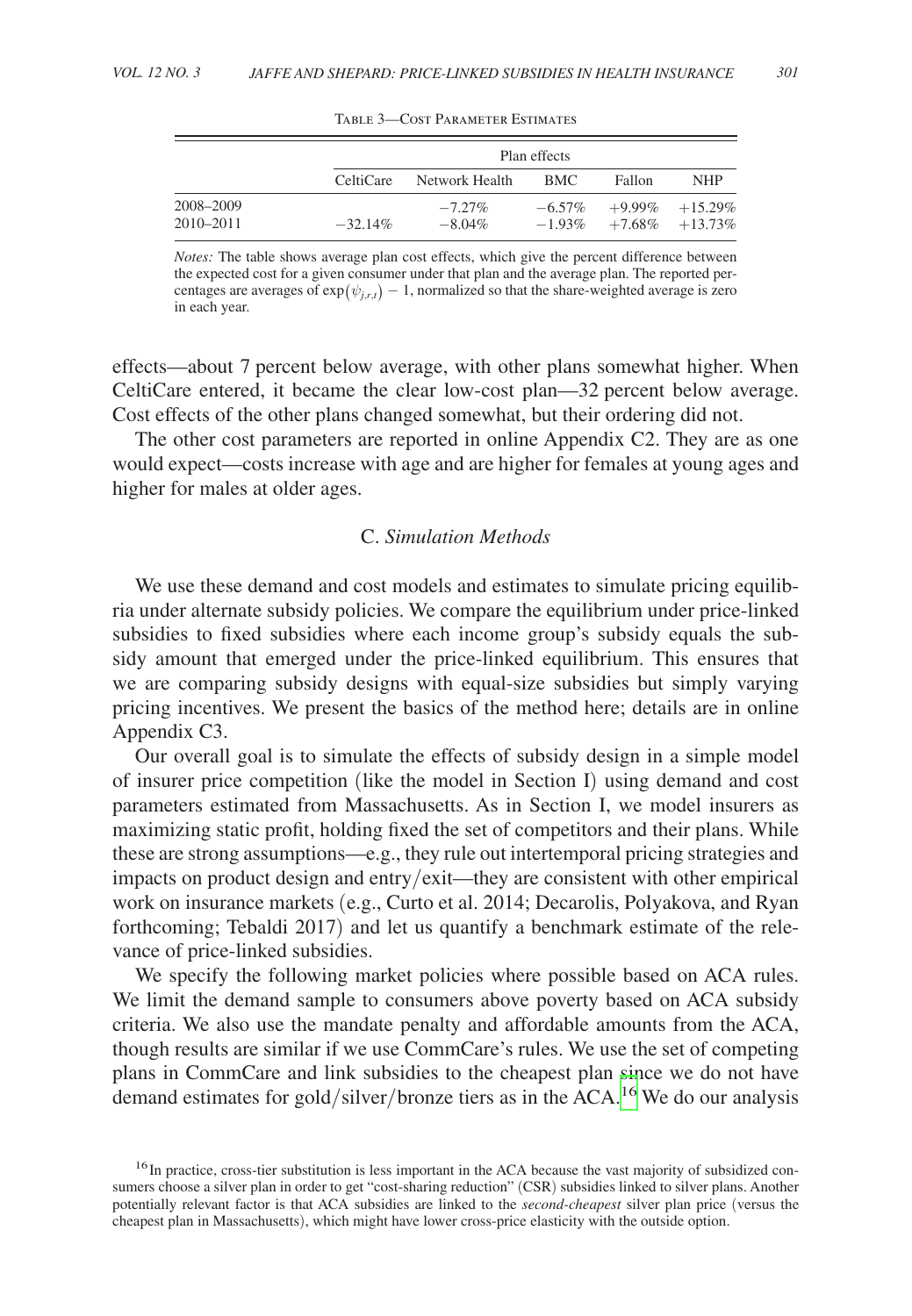<span id="page-22-0"></span>

|           |            | Plan effects   |           |           |                    |  |  |  |  |
|-----------|------------|----------------|-----------|-----------|--------------------|--|--|--|--|
|           | CeltiCare  | Network Health | BMC.      | Fallon    | <b>NHP</b>         |  |  |  |  |
| 2008-2009 |            | $-7.27\%$      | $-6.57\%$ | $+9.99\%$ | $+15.29\%$         |  |  |  |  |
| 2010-2011 | $-32.14\%$ | $-8.04\%$      | $-1.93\%$ |           | $+7.68\% +13.73\%$ |  |  |  |  |

Table 3—Cost Parameter Estimates

*Notes:* The table shows average plan cost effects, which give the percent difference between the expected cost for a given consumer under that plan and the average plan. The reported percentages are averages of  $\exp(\psi_{i,r,t}) - 1$ , normalized so that the share-weighted average is zero in each year.

effects—about 7 percent below average, with other plans somewhat higher. When CeltiCare entered, it became the clear low-cost plan—32 percent below average. Cost effects of the other plans changed somewhat, but their ordering did not.

The other cost parameters are reported in online Appendix C2. They are as one would expect—costs increase with age and are higher for females at young ages and higher for males at older ages.

# C. *Simulation Methods*

We use these demand and cost models and estimates to simulate pricing equilibria under alternate subsidy policies. We compare the equilibrium under price-linked subsidies to fixed subsidies where each income group's subsidy equals the subsidy amount that emerged under the price-linked equilibrium. This ensures that we are comparing subsidy designs with equal-size subsidies but simply varying pricing incentives. We present the basics of the method here; details are in online Appendix C3.

Our overall goal is to simulate the effects of subsidy design in a simple model of insurer price competition (like the model in Section I) using demand and cost parameters estimated from Massachusetts. As in Section I, we model insurers as maximizing static profit, holding fixed the set of competitors and their plans. While these are strong assumptions—e.g., they rule out intertemporal pricing strategies and impacts on product design and entry/exit—they are consistent with other empirical work on insurance markets (e.g., Curto et al. 2014; Decarolis, Polyakova, and Ryan forthcoming; Tebaldi 2017) and let us quantify a benchmark estimate of the relevance of price-linked subsidies.

We specify the following market policies where possible based on ACA rules. We limit the demand sample to consumers above poverty based on ACA subsidy criteria. We also use the mandate penalty and affordable amounts from the ACA, though results are similar if we use CommCare's rules. We use the set of competing plans in CommCare and link subsidies to the cheapest plan since we do not have demand estimates for gold/silver/bronze tiers as in the ACA.[16](#page-22-1) We do our analysis

<span id="page-22-1"></span><sup>&</sup>lt;sup>16</sup>In practice, cross-tier substitution is less important in the ACA because the vast majority of subsidized consumers choose a silver plan in order to get "cost-sharing reduction" (CSR) subsidies linked to silver plans. Another potentially relevant factor is that ACA subsidies are linked to the *second-cheapest* silver plan price (versus the cheapest plan in Massachusetts), which might have lower cross-price elasticity with the outside option.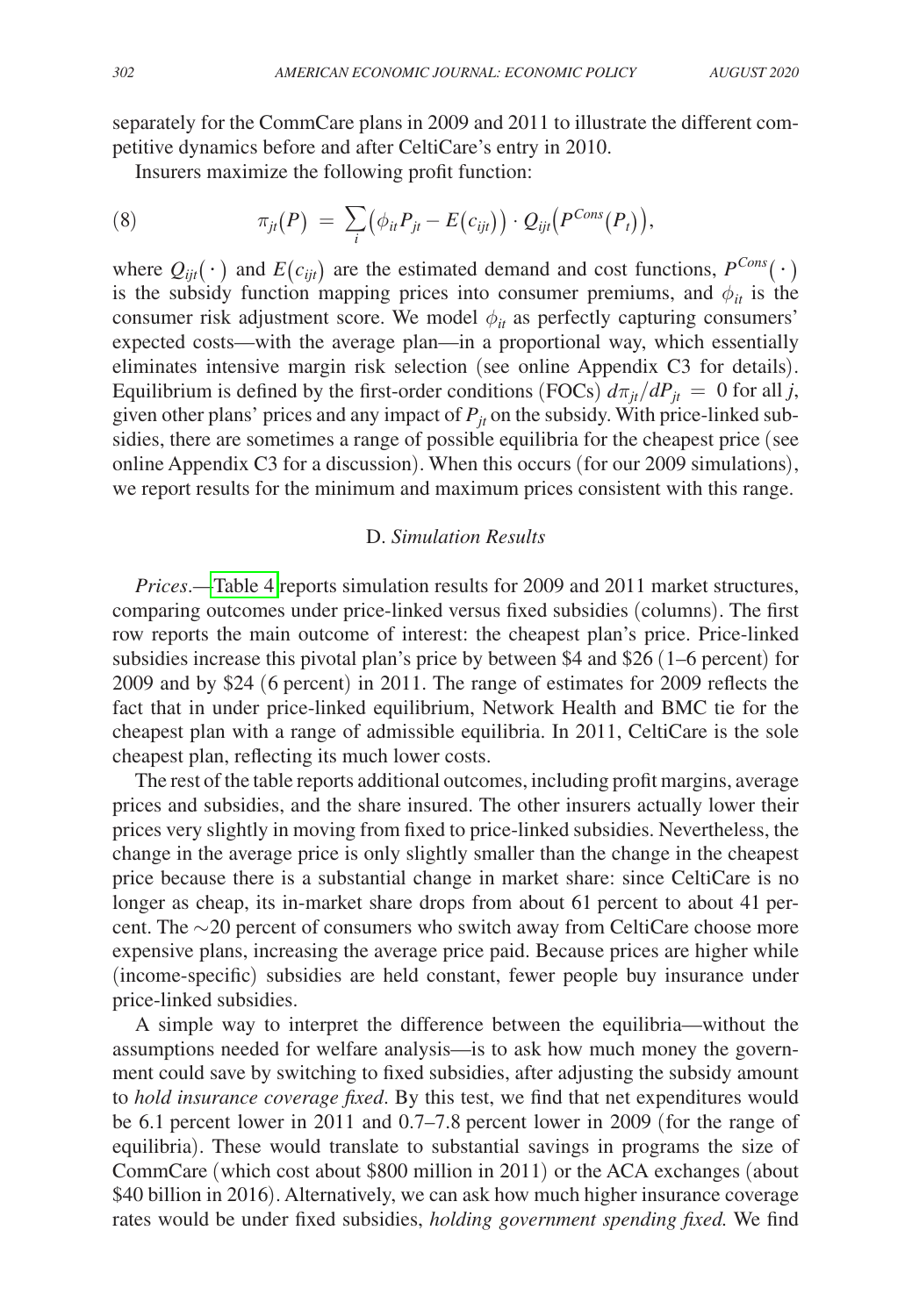separately for the CommCare plans in 2009 and 2011 to illustrate the different competitive dynamics before and after CeltiCare's entry in 2010.

Insurers maximize the following profit function:

(8) 
$$
\pi_{jt}(P) = \sum_i (\phi_{it} P_{jt} - E(c_{ijt})) \cdot Q_{ijt}(P^{Cons}(P_t)),
$$

where  $Q_{ijt}(\cdot)$  and  $E(c_{ijt})$  are the estimated demand and cost functions,  $P^{Cons}(\cdot)$ is the subsidy function mapping prices into consumer premiums, and  $\phi_{it}$  is the consumer risk adjustment score. We model  $\phi_{it}$  as perfectly capturing consumers' expected costs—with the average plan—in a proportional way, which essentially eliminates intensive margin risk selection (see online Appendix C3 for details). Equilibrium is defined by the first-order conditions (FOCs)  $d\pi_{it}/dP_{it} = 0$  for all *j*, given other plans' prices and any impact of  $P_{it}$  on the subsidy. With price-linked subsidies, there are sometimes a range of possible equilibria for the cheapest price (see online Appendix C3 for a discussion). When this occurs (for our 2009 simulations), we report results for the minimum and maximum prices consistent with this range.

## D. *Simulation Results*

*Prices*.[—Table 4](#page-24-0) reports simulation results for 2009 and 2011 market structures, comparing outcomes under price-linked versus fixed subsidies (columns). The first row reports the main outcome of interest: the cheapest plan's price. Price-linked subsidies increase this pivotal plan's price by between \$4 and \$26 (1–6 percent) for 2009 and by \$24 (6 percent) in 2011. The range of estimates for 2009 reflects the fact that in under price-linked equilibrium, Network Health and BMC tie for the cheapest plan with a range of admissible equilibria. In 2011, CeltiCare is the sole cheapest plan, reflecting its much lower costs.

The rest of the table reports additional outcomes, including profit margins, average prices and subsidies, and the share insured. The other insurers actually lower their prices very slightly in moving from fixed to price-linked subsidies. Nevertheless, the change in the average price is only slightly smaller than the change in the cheapest price because there is a substantial change in market share: since CeltiCare is no longer as cheap, its in-market share drops from about 61 percent to about 41 percent. The ∼20 percent of consumers who switch away from CeltiCare choose more expensive plans, increasing the average price paid. Because prices are higher while (income-specific) subsidies are held constant, fewer people buy insurance under price-linked subsidies.

A simple way to interpret the difference between the equilibria—without the assumptions needed for welfare analysis—is to ask how much money the government could save by switching to fixed subsidies, after adjusting the subsidy amount to *hold insurance coverage fixed*. By this test, we find that net expenditures would be 6.1 percent lower in 2011 and 0.7–7.8 percent lower in 2009 (for the range of equilibria). These would translate to substantial savings in programs the size of CommCare (which cost about \$800 million in 2011) or the ACA exchanges (about \$40 billion in 2016). Alternatively, we can ask how much higher insurance coverage rates would be under fixed subsidies, *holding government spending fixed.* We find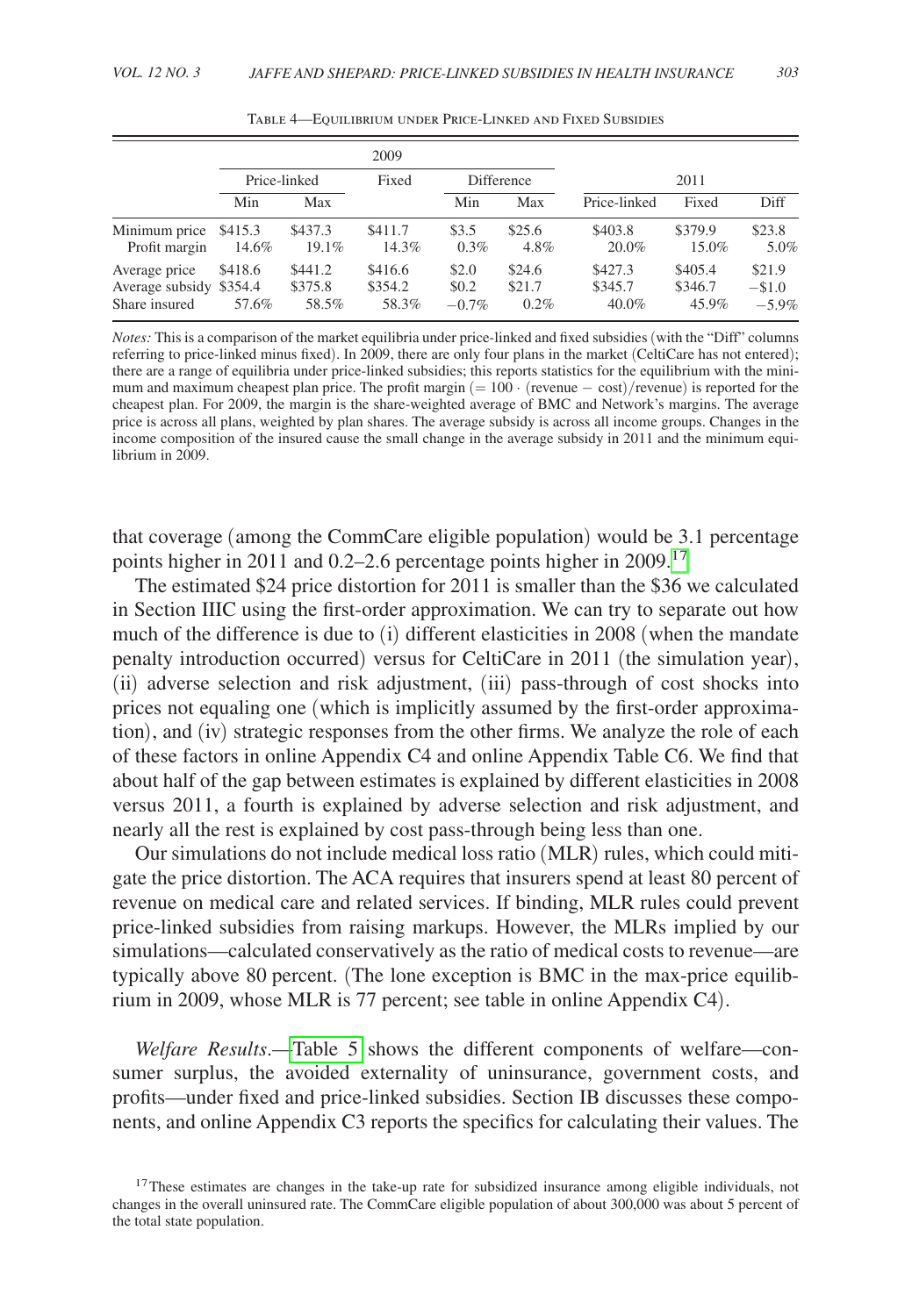<span id="page-24-0"></span>

|                                                           |                       |                             | 2009                        |                            |                             |                             |                             |                               |
|-----------------------------------------------------------|-----------------------|-----------------------------|-----------------------------|----------------------------|-----------------------------|-----------------------------|-----------------------------|-------------------------------|
|                                                           | Price-linked<br>Fixed |                             |                             | <b>Difference</b>          | 2011                        |                             |                             |                               |
|                                                           | Min                   | Max                         |                             | Min                        | Max                         | Price-linked                | Fixed                       | Diff                          |
| Minimum price \$415.3<br>Profit margin                    | 14.6%                 | \$437.3<br>19.1%            | \$411.7<br>14.3%            | \$3.5<br>0.3%              | \$25.6<br>4.8%              | \$403.8<br>20.0%            | \$379.9<br>15.0%            | \$23.8<br>5.0%                |
| Average price<br>Average subsidy \$354.4<br>Share insured | \$418.6<br>57.6%      | \$441.2<br>\$375.8<br>58.5% | \$416.6<br>\$354.2<br>58.3% | \$2.0<br>\$0.2<br>$-0.7\%$ | \$24.6<br>\$21.7<br>$0.2\%$ | \$427.3<br>\$345.7<br>40.0% | \$405.4<br>\$346.7<br>45.9% | \$21.9<br>$-\$1.0$<br>$-5.9%$ |

Table 4—Equilibrium under Price-Linked and Fixed Subsidies

*Notes:* This is a comparison of the market equilibria under price-linked and fixed subsidies (with the "Diff" columns referring to price-linked minus fixed). In 2009, there are only four plans in the market (CeltiCare has not entered); there are a range of equilibria under price-linked subsidies; this reports statistics for the equilibrium with the minimum and maximum cheapest plan price. The profit margin  $(= 100 \cdot (revenue - cost)/revenue)$  is reported for the cheapest plan. For 2009, the margin is the share-weighted average of BMC and Network's margins. The average price is across all plans, weighted by plan shares. The average subsidy is across all income groups. Changes in the income composition of the insured cause the small change in the average subsidy in 2011 and the minimum equilibrium in 2009.

that coverage (among the CommCare eligible population) would be 3.1 percentage points higher in 2011 and 0.2–2.6 percentage points higher in 2009.[17](#page-24-1)

The estimated \$24 price distortion for 2011 is smaller than the \$36 we calculated in Section IIIC using the first-order approximation. We can try to separate out how much of the difference is due to (i) different elasticities in 2008 (when the mandate penalty introduction occurred) versus for CeltiCare in 2011 (the simulation year), (ii) adverse selection and risk adjustment, (iii) pass-through of cost shocks into prices not equaling one (which is implicitly assumed by the first-order approximation), and (iv) strategic responses from the other firms. We analyze the role of each of these factors in online Appendix C4 and online Appendix Table C6. We find that about half of the gap between estimates is explained by different elasticities in 2008 versus 2011, a fourth is explained by adverse selection and risk adjustment, and nearly all the rest is explained by cost pass-through being less than one.

Our simulations do not include medical loss ratio (MLR) rules, which could mitigate the price distortion. The ACA requires that insurers spend at least 80 percent of revenue on medical care and related services. If binding, MLR rules could prevent price-linked subsidies from raising markups. However, the MLRs implied by our simulations—calculated conservatively as the ratio of medical costs to revenue—are typically above 80 percent. (The lone exception is BMC in the max-price equilibrium in 2009, whose MLR is 77 percent; see table in online Appendix C4).

*Welfare Results*.[—Table 5](#page-25-0) shows the different components of welfare—consumer surplus, the avoided externality of uninsurance, government costs, and profits—under fixed and price-linked subsidies. Section IB discusses these components, and online Appendix C3 reports the specifics for calculating their values. The

<span id="page-24-1"></span><sup>&</sup>lt;sup>17</sup>These estimates are changes in the take-up rate for subsidized insurance among eligible individuals, not changes in the overall uninsured rate. The CommCare eligible population of about 300,000 was about 5 percent of the total state population.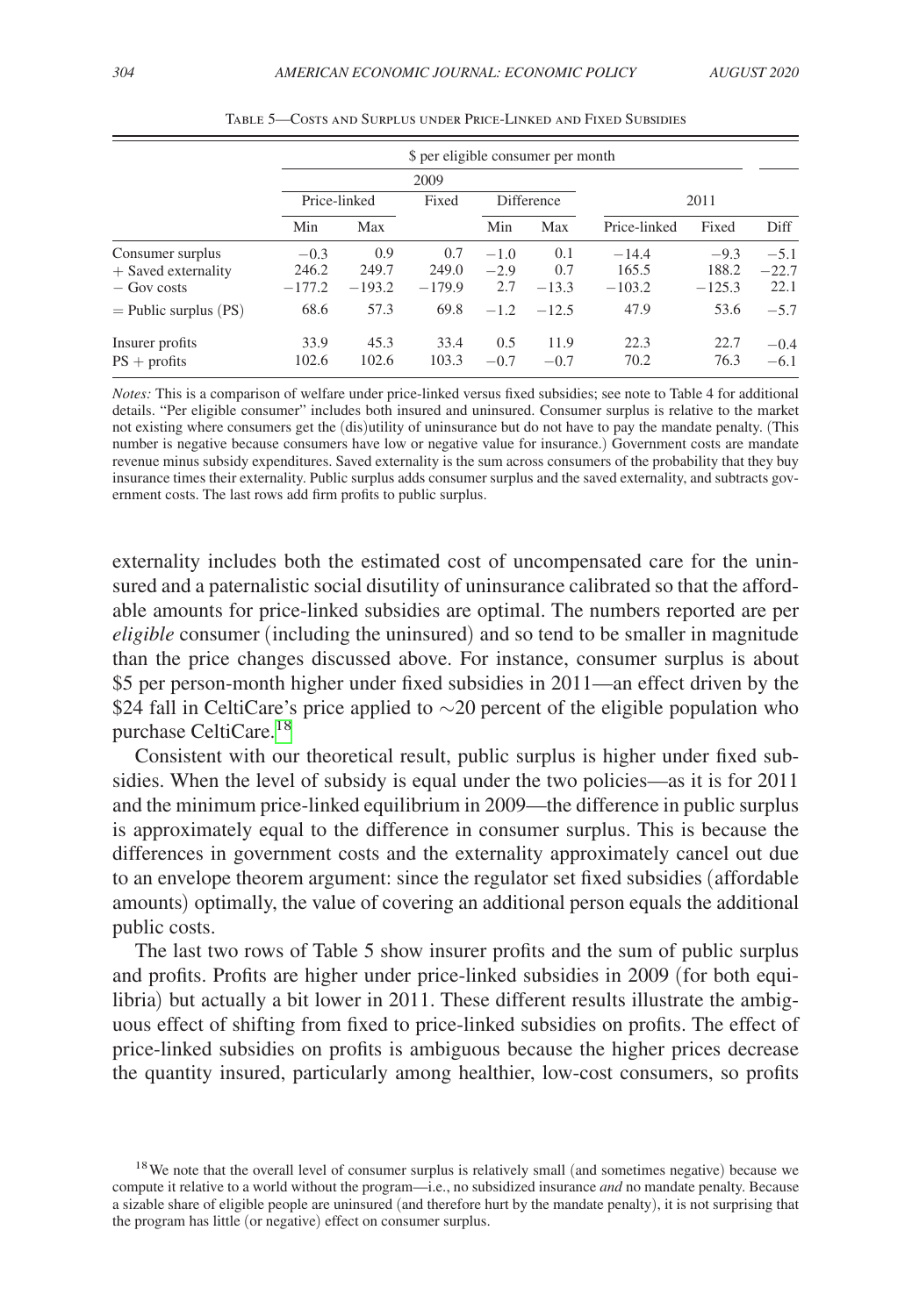<span id="page-25-0"></span>

|                         | \$ per eligible consumer per month |          |          |            |         |              |          |         |
|-------------------------|------------------------------------|----------|----------|------------|---------|--------------|----------|---------|
|                         |                                    | 2009     |          |            |         |              |          |         |
|                         | Price-linked                       |          | Fixed    | Difference |         | 2011         |          |         |
|                         | Min                                | Max      |          | Min        | Max     | Price-linked | Fixed    | Diff    |
| Consumer surplus        | $-0.3$                             | 0.9      | 0.7      | $-1.0$     | 0.1     | $-14.4$      | $-9.3$   | $-5.1$  |
| $+$ Saved externality   | 246.2                              | 249.7    | 249.0    | $-2.9$     | 0.7     | 165.5        | 188.2    | $-22.7$ |
| $-$ Gov costs           | $-177.2$                           | $-193.2$ | $-179.9$ | 2.7        | $-13.3$ | $-103.2$     | $-125.3$ | 22.1    |
| $=$ Public surplus (PS) | 68.6                               | 57.3     | 69.8     | $-1.2$     | $-12.5$ | 47.9         | 53.6     | $-5.7$  |
| Insurer profits         | 33.9                               | 45.3     | 33.4     | 0.5        | 11.9    | 22.3         | 22.7     | $-0.4$  |
| $PS +$ profits          | 102.6                              | 102.6    | 103.3    | $-0.7$     | $-0.7$  | 70.2         | 76.3     | $-6.1$  |

Table 5—Costs and Surplus under Price-Linked and Fixed Subsidies

*Notes:* This is a comparison of welfare under price-linked versus fixed subsidies; see note to Table 4 for additional details. "Per eligible consumer" includes both insured and uninsured. Consumer surplus is relative to the market not existing where consumers get the (dis)utility of uninsurance but do not have to pay the mandate penalty. (This number is negative because consumers have low or negative value for insurance.) Government costs are mandate revenue minus subsidy expenditures. Saved externality is the sum across consumers of the probability that they buy insurance times their externality. Public surplus adds consumer surplus and the saved externality, and subtracts government costs. The last rows add firm profits to public surplus.

externality includes both the estimated cost of uncompensated care for the uninsured and a paternalistic social disutility of uninsurance calibrated so that the affordable amounts for price-linked subsidies are optimal. The numbers reported are per *eligible* consumer (including the uninsured) and so tend to be smaller in magnitude than the price changes discussed above. For instance, consumer surplus is about \$5 per person-month higher under fixed subsidies in 2011—an effect driven by the \$24 fall in CeltiCare's price applied to ∼20 percent of the eligible population who purchase CeltiCare.<sup>[18](#page-25-1)</sup>

Consistent with our theoretical result, public surplus is higher under fixed subsidies. When the level of subsidy is equal under the two policies—as it is for 2011 and the minimum price-linked equilibrium in 2009—the difference in public surplus is approximately equal to the difference in consumer surplus. This is because the differences in government costs and the externality approximately cancel out due to an envelope theorem argument: since the regulator set fixed subsidies (affordable amounts) optimally, the value of covering an additional person equals the additional public costs.

The last two rows of Table 5 show insurer profits and the sum of public surplus and profits. Profits are higher under price-linked subsidies in 2009 (for both equilibria) but actually a bit lower in 2011. These different results illustrate the ambiguous effect of shifting from fixed to price-linked subsidies on profits. The effect of price-linked subsidies on profits is ambiguous because the higher prices decrease the quantity insured, particularly among healthier, low-cost consumers, so profits

<span id="page-25-1"></span><sup>&</sup>lt;sup>18</sup>We note that the overall level of consumer surplus is relatively small (and sometimes negative) because we compute it relative to a world without the program—i.e., no subsidized insurance *and* no mandate penalty. Because a sizable share of eligible people are uninsured (and therefore hurt by the mandate penalty), it is not surprising that the program has little (or negative) effect on consumer surplus.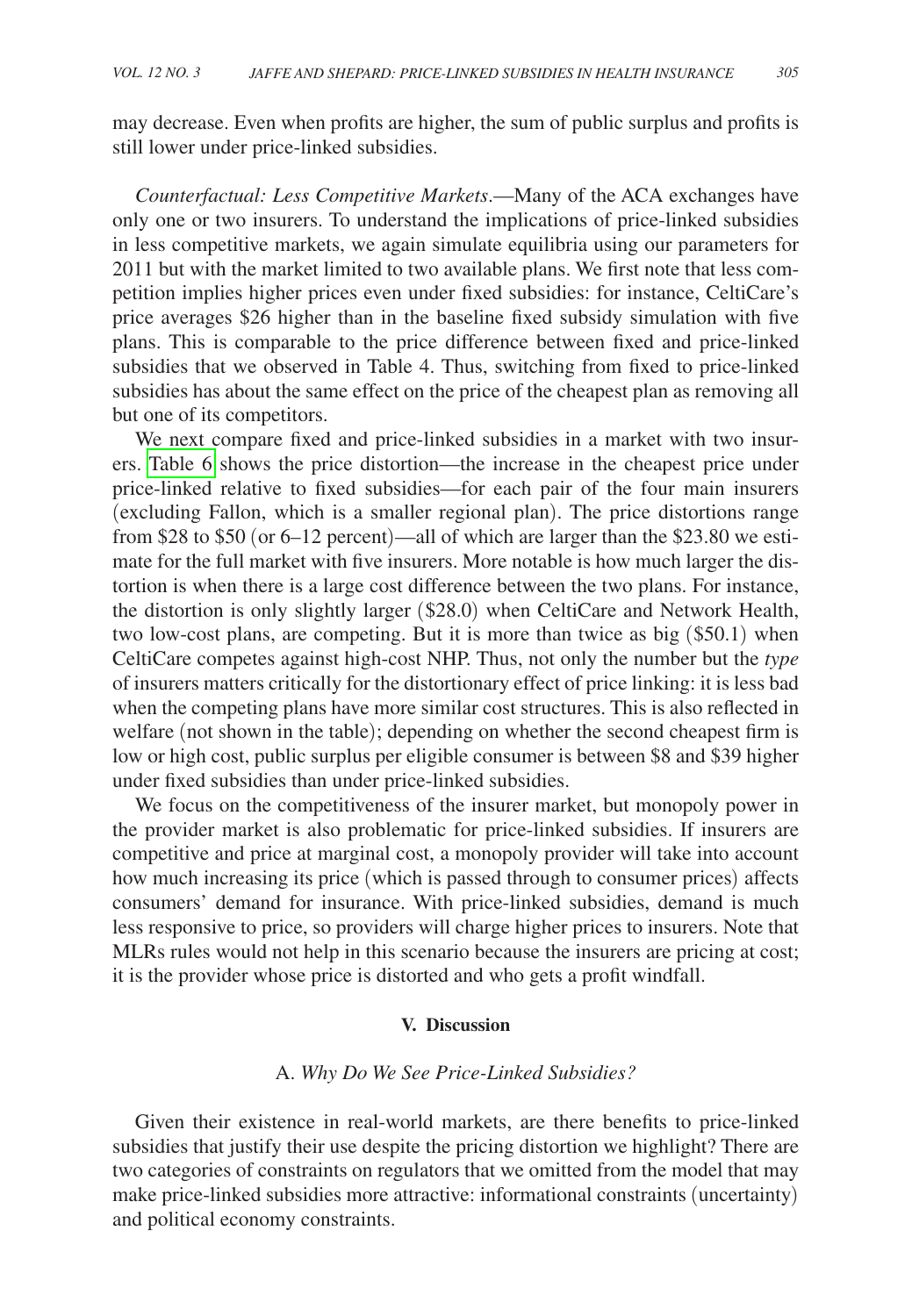may decrease. Even when profits are higher, the sum of public surplus and profits is still lower under price-linked subsidies.

*Counterfactual: Less Competitive Markets*.—Many of the ACA exchanges have only one or two insurers. To understand the implications of price-linked subsidies in less competitive markets, we again simulate equilibria using our parameters for 2011 but with the market limited to two available plans. We first note that less competition implies higher prices even under fixed subsidies: for instance, CeltiCare's price averages \$26 higher than in the baseline fixed subsidy simulation with five plans. This is comparable to the price difference between fixed and price-linked subsidies that we observed in Table 4. Thus, switching from fixed to price-linked subsidies has about the same effect on the price of the cheapest plan as removing all but one of its competitors.

We next compare fixed and price-linked subsidies in a market with two insurers. [Table 6](#page-27-0) shows the price distortion—the increase in the cheapest price under price-linked relative to fixed subsidies—for each pair of the four main insurers (excluding Fallon, which is a smaller regional plan). The price distortions range from \$28 to \$50 (or 6–12 percent)—all of which are larger than the \$23.80 we estimate for the full market with five insurers. More notable is how much larger the distortion is when there is a large cost difference between the two plans. For instance, the distortion is only slightly larger (\$28.0) when CeltiCare and Network Health, two low-cost plans, are competing. But it is more than twice as big (\$50.1) when CeltiCare competes against high-cost NHP. Thus, not only the number but the *type* of insurers matters critically for the distortionary effect of price linking: it is less bad when the competing plans have more similar cost structures. This is also reflected in welfare (not shown in the table); depending on whether the second cheapest firm is low or high cost, public surplus per eligible consumer is between \$8 and \$39 higher under fixed subsidies than under price-linked subsidies.

We focus on the competitiveness of the insurer market, but monopoly power in the provider market is also problematic for price-linked subsidies. If insurers are competitive and price at marginal cost, a monopoly provider will take into account how much increasing its price (which is passed through to consumer prices) affects consumers' demand for insurance. With price-linked subsidies, demand is much less responsive to price, so providers will charge higher prices to insurers. Note that MLRs rules would not help in this scenario because the insurers are pricing at cost; it is the provider whose price is distorted and who gets a profit windfall.

#### **V. Discussion**

## A. *Why Do We See Price-Linked Subsidies?*

Given their existence in real-world markets, are there benefits to price-linked subsidies that justify their use despite the pricing distortion we highlight? There are two categories of constraints on regulators that we omitted from the model that may make price-linked subsidies more attractive: informational constraints (uncertainty) and political economy constraints.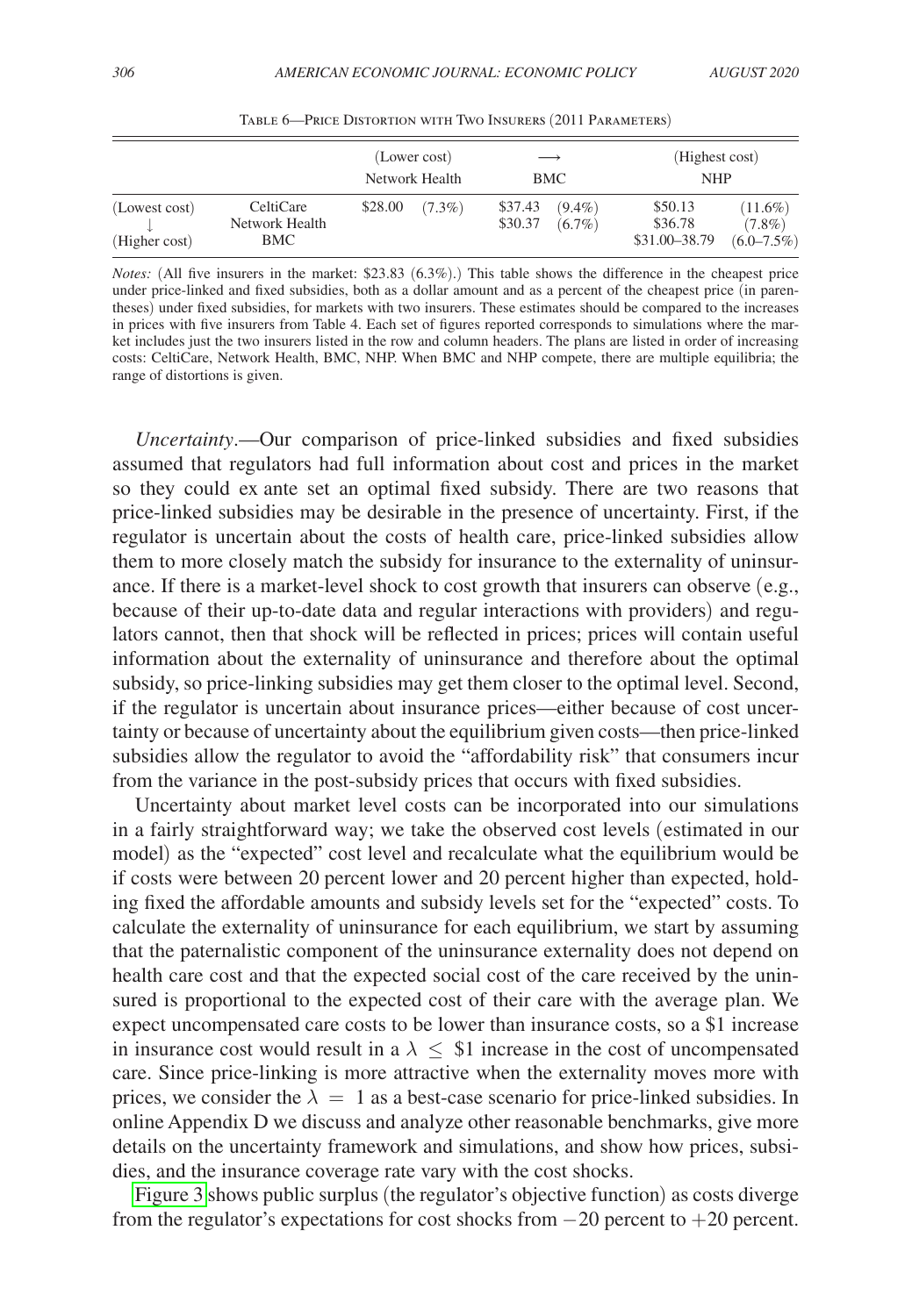<span id="page-27-0"></span>

|                                |                                    | (Lower cost)<br>Network Health |           | $\longrightarrow$<br>BMC |                        | (Highest cost)<br><b>NHP</b>        |                                            |
|--------------------------------|------------------------------------|--------------------------------|-----------|--------------------------|------------------------|-------------------------------------|--------------------------------------------|
| (Lowest cost)<br>(Higher cost) | CeltiCare<br>Network Health<br>BMC | \$28.00                        | $(7.3\%)$ | \$37.43<br>\$30.37       | $(9.4\%)$<br>$(6.7\%)$ | \$50.13<br>\$36.78<br>\$31.00-38.79 | $(11.6\%)$<br>$(7.8\%)$<br>$(6.0 - 7.5\%)$ |

Table 6—Price Distortion with Two Insurers (2011 Parameters)

*Notes:* (All five insurers in the market: \$23.83 (6.3%).) This table shows the difference in the cheapest price under price-linked and fixed subsidies, both as a dollar amount and as a percent of the cheapest price (in parentheses) under fixed subsidies, for markets with two insurers. These estimates should be compared to the increases in prices with five insurers from Table 4. Each set of figures reported corresponds to simulations where the market includes just the two insurers listed in the row and column headers. The plans are listed in order of increasing costs: CeltiCare, Network Health, BMC, NHP. When BMC and NHP compete, there are multiple equilibria; the range of distortions is given.

*Uncertainty*.—Our comparison of price-linked subsidies and fixed subsidies assumed that regulators had full information about cost and prices in the market so they could ex ante set an optimal fixed subsidy. There are two reasons that price-linked subsidies may be desirable in the presence of uncertainty. First, if the regulator is uncertain about the costs of health care, price-linked subsidies allow them to more closely match the subsidy for insurance to the externality of uninsurance. If there is a market-level shock to cost growth that insurers can observe (e.g., because of their up-to-date data and regular interactions with providers) and regulators cannot, then that shock will be reflected in prices; prices will contain useful information about the externality of uninsurance and therefore about the optimal subsidy, so price-linking subsidies may get them closer to the optimal level. Second, if the regulator is uncertain about insurance prices—either because of cost uncertainty or because of uncertainty about the equilibrium given costs—then price-linked subsidies allow the regulator to avoid the "affordability risk" that consumers incur from the variance in the post-subsidy prices that occurs with fixed subsidies.

Uncertainty about market level costs can be incorporated into our simulations in a fairly straightforward way; we take the observed cost levels (estimated in our model) as the "expected" cost level and recalculate what the equilibrium would be if costs were between 20 percent lower and 20 percent higher than expected, holding fixed the affordable amounts and subsidy levels set for the "expected" costs. To calculate the externality of uninsurance for each equilibrium, we start by assuming that the paternalistic component of the uninsurance externality does not depend on health care cost and that the expected social cost of the care received by the uninsured is proportional to the expected cost of their care with the average plan. We expect uncompensated care costs to be lower than insurance costs, so a \$1 increase in insurance cost would result in a  $\lambda \leq 1$  increase in the cost of uncompensated care. Since price-linking is more attractive when the externality moves more with prices, we consider the  $\lambda = 1$  as a best-case scenario for price-linked subsidies. In online Appendix D we discuss and analyze other reasonable benchmarks, give more details on the uncertainty framework and simulations, and show how prices, subsidies, and the insurance coverage rate vary with the cost shocks.

[Figure 3](#page-28-0) shows public surplus (the regulator's objective function) as costs diverge from the regulator's expectations for cost shocks from  $-20$  percent to  $+20$  percent.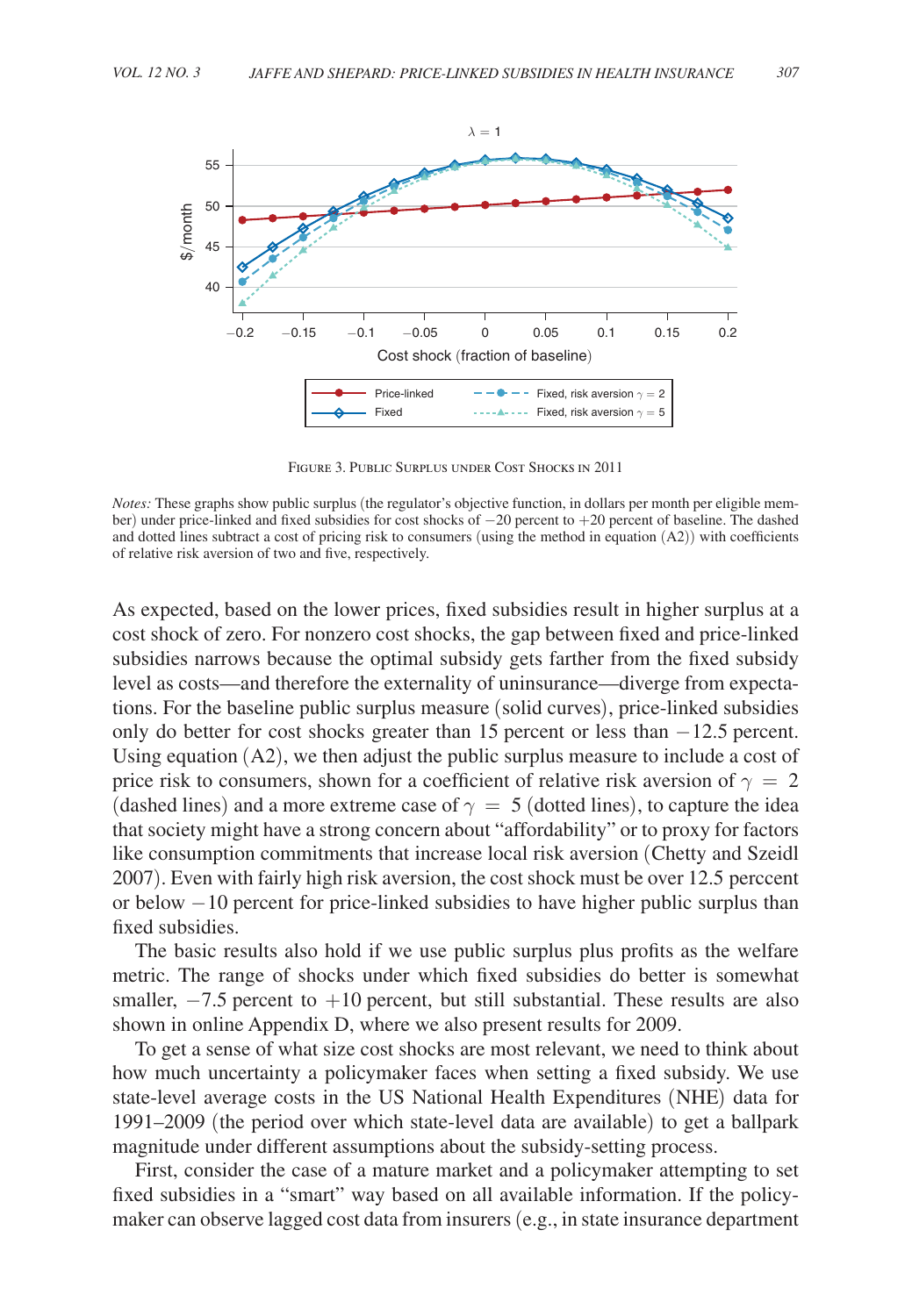<span id="page-28-0"></span>

Figure 3. Public Surplus under Cost Shocks in 2011

As expected, based on the lower prices, fixed subsidies result in higher surplus at a cost shock of zero. For nonzero cost shocks, the gap between fixed and price-linked subsidies narrows because the optimal subsidy gets farther from the fixed subsidy level as costs—and therefore the externality of uninsurance—diverge from expectations. For the baseline public surplus measure (solid curves), price-linked subsidies only do better for cost shocks greater than 15 percent or less than −12.5 percent. Using equation (A2), we then adjust the public surplus measure to include a cost of price risk to consumers, shown for a coefficient of relative risk aversion of  $\gamma = 2$ (dashed lines) and a more extreme case of  $\gamma = 5$  (dotted lines), to capture the idea that society might have a strong concern about "affordability" or to proxy for factors like consumption commitments that increase local risk aversion (Chetty and Szeidl 2007). Even with fairly high risk aversion, the cost shock must be over 12.5 perccent or below −10 percent for price-linked subsidies to have higher public surplus than fixed subsidies.

The basic results also hold if we use public surplus plus profits as the welfare metric. The range of shocks under which fixed subsidies do better is somewhat smaller,  $-7.5$  percent to  $+10$  percent, but still substantial. These results are also shown in online Appendix D, where we also present results for 2009.

To get a sense of what size cost shocks are most relevant, we need to think about how much uncertainty a policymaker faces when setting a fixed subsidy. We use state-level average costs in the US National Health Expenditures (NHE) data for 1991–2009 (the period over which state-level data are available) to get a ballpark magnitude under different assumptions about the subsidy-setting process.

First, consider the case of a mature market and a policymaker attempting to set fixed subsidies in a "smart" way based on all available information. If the policymaker can observe lagged cost data from insurers (e.g., in state insurance department

*Notes:* These graphs show public surplus (the regulator's objective function, in dollars per month per eligible member) under price-linked and fixed subsidies for cost shocks of −20 percent to +20 percent of baseline. The dashed and dotted lines subtract a cost of pricing risk to consumers (using the method in equation (A2)) with coefficients of relative risk aversion of two and five, respectively.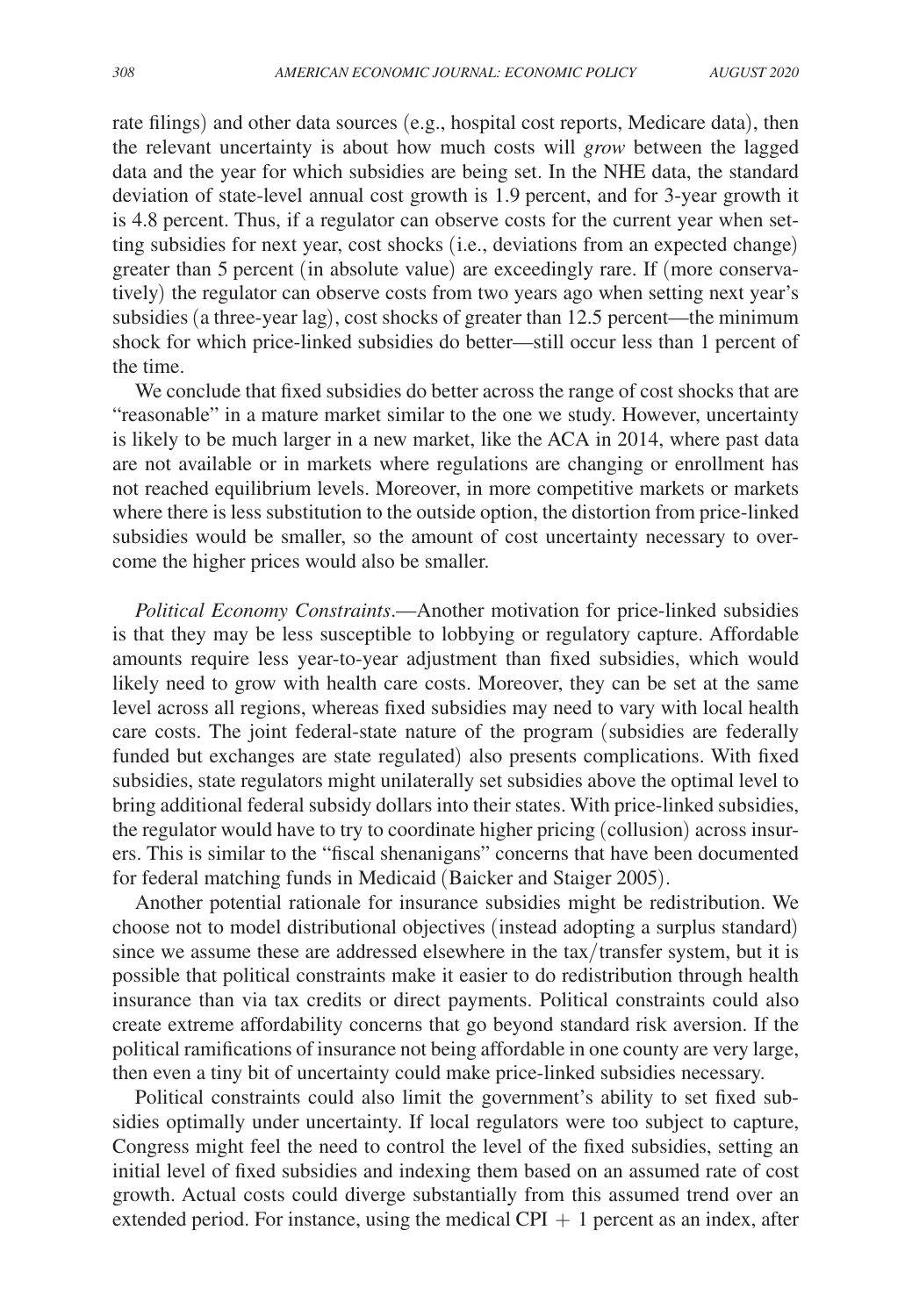rate filings) and other data sources (e.g., hospital cost reports, Medicare data), then the relevant uncertainty is about how much costs will *grow* between the lagged data and the year for which subsidies are being set. In the NHE data, the standard deviation of state-level annual cost growth is 1.9 percent, and for 3-year growth it is 4.8 percent. Thus, if a regulator can observe costs for the current year when setting subsidies for next year, cost shocks (i.e., deviations from an expected change) greater than 5 percent (in absolute value) are exceedingly rare. If (more conservatively) the regulator can observe costs from two years ago when setting next year's subsidies (a three-year lag), cost shocks of greater than 12.5 percent—the minimum shock for which price-linked subsidies do better—still occur less than 1 percent of the time.

We conclude that fixed subsidies do better across the range of cost shocks that are "reasonable" in a mature market similar to the one we study. However, uncertainty is likely to be much larger in a new market, like the ACA in 2014, where past data are not available or in markets where regulations are changing or enrollment has not reached equilibrium levels. Moreover, in more competitive markets or markets where there is less substitution to the outside option, the distortion from price-linked subsidies would be smaller, so the amount of cost uncertainty necessary to overcome the higher prices would also be smaller.

*Political Economy Constraints*.—Another motivation for price-linked subsidies is that they may be less susceptible to lobbying or regulatory capture. Affordable amounts require less year-to-year adjustment than fixed subsidies, which would likely need to grow with health care costs. Moreover, they can be set at the same level across all regions, whereas fixed subsidies may need to vary with local health care costs. The joint federal-state nature of the program (subsidies are federally funded but exchanges are state regulated) also presents complications. With fixed subsidies, state regulators might unilaterally set subsidies above the optimal level to bring additional federal subsidy dollars into their states. With price-linked subsidies, the regulator would have to try to coordinate higher pricing (collusion) across insurers. This is similar to the "fiscal shenanigans" concerns that have been documented for federal matching funds in Medicaid (Baicker and Staiger 2005).

Another potential rationale for insurance subsidies might be redistribution. We choose not to model distributional objectives (instead adopting a surplus standard) since we assume these are addressed elsewhere in the tax/transfer system, but it is possible that political constraints make it easier to do redistribution through health insurance than via tax credits or direct payments. Political constraints could also create extreme affordability concerns that go beyond standard risk aversion. If the political ramifications of insurance not being affordable in one county are very large, then even a tiny bit of uncertainty could make price-linked subsidies necessary.

Political constraints could also limit the government's ability to set fixed subsidies optimally under uncertainty. If local regulators were too subject to capture, Congress might feel the need to control the level of the fixed subsidies, setting an initial level of fixed subsidies and indexing them based on an assumed rate of cost growth. Actual costs could diverge substantially from this assumed trend over an extended period. For instance, using the medical CPI  $+1$  percent as an index, after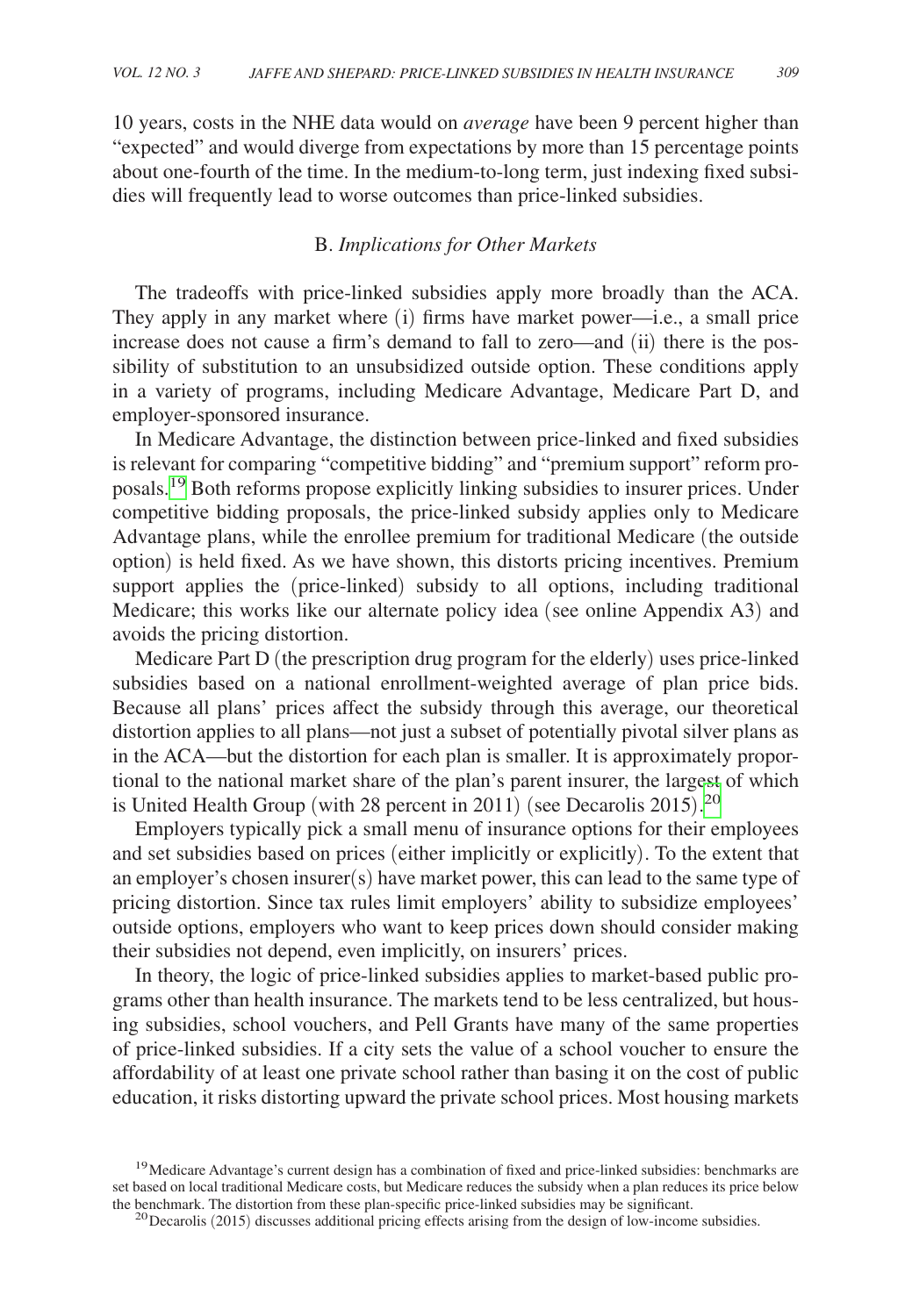10 years, costs in the NHE data would on *average* have been 9 percent higher than "expected" and would diverge from expectations by more than 15 percentage points about one-fourth of the time. In the medium-to-long term, just indexing fixed subsidies will frequently lead to worse outcomes than price-linked subsidies.

## B. *Implications for Other Markets*

The tradeoffs with price-linked subsidies apply more broadly than the ACA. They apply in any market where (i) firms have market power—i.e., a small price increase does not cause a firm's demand to fall to zero—and (ii) there is the possibility of substitution to an unsubsidized outside option. These conditions apply in a variety of programs, including Medicare Advantage, Medicare Part D, and employer-sponsored insurance.

In Medicare Advantage, the distinction between price-linked and fixed subsidies is relevant for comparing "competitive bidding" and "premium support" reform proposals[.19](#page-30-0) Both reforms propose explicitly linking subsidies to insurer prices. Under competitive bidding proposals, the price-linked subsidy applies only to Medicare Advantage plans, while the enrollee premium for traditional Medicare (the outside option) is held fixed. As we have shown, this distorts pricing incentives. Premium support applies the (price-linked) subsidy to all options, including traditional Medicare; this works like our alternate policy idea (see online Appendix A3) and avoids the pricing distortion.

Medicare Part D (the prescription drug program for the elderly) uses price-linked subsidies based on a national enrollment-weighted average of plan price bids. Because all plans' prices affect the subsidy through this average, our theoretical distortion applies to all plans—not just a subset of potentially pivotal silver plans as in the ACA—but the distortion for each plan is smaller. It is approximately proportional to the national market share of the plan's parent insurer, the largest of which is United Health Group (with 28 percent in [20](#page-30-1)11) (see Decarolis 2015).<sup>20</sup>

Employers typically pick a small menu of insurance options for their employees and set subsidies based on prices (either implicitly or explicitly). To the extent that an employer's chosen insurer(s) have market power, this can lead to the same type of pricing distortion. Since tax rules limit employers' ability to subsidize employees' outside options, employers who want to keep prices down should consider making their subsidies not depend, even implicitly, on insurers' prices.

In theory, the logic of price-linked subsidies applies to market-based public programs other than health insurance. The markets tend to be less centralized, but housing subsidies, school vouchers, and Pell Grants have many of the same properties of price-linked subsidies. If a city sets the value of a school voucher to ensure the affordability of at least one private school rather than basing it on the cost of public education, it risks distorting upward the private school prices. Most housing markets

<span id="page-30-0"></span><sup>19</sup>Medicare Advantage's current design has a combination of fixed and price-linked subsidies: benchmarks are set based on local traditional Medicare costs, but Medicare reduces the subsidy when a plan reduces its price below<br>the benchmark. The distortion from these plan-specific price-linked subsidies may be significant.

<span id="page-30-1"></span><sup>20</sup> Decarolis (2015) discusses additional pricing effects arising from the design of low-income subsidies.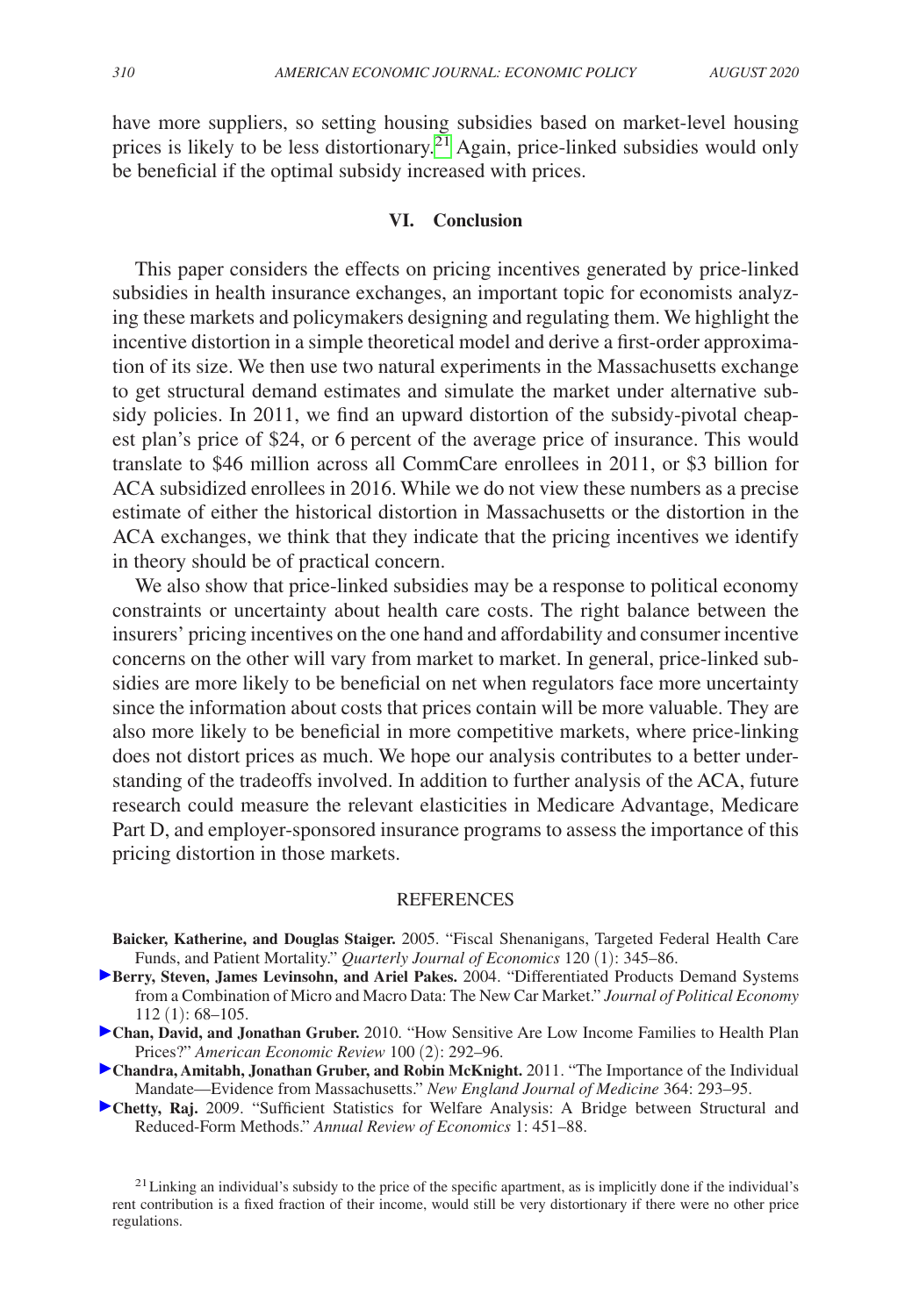have more suppliers, so setting housing subsidies based on market-level housing prices is likely to be less distortionary.<sup>21</sup> Again, price-linked subsidies would only be beneficial if the optimal subsidy increased with prices.

#### **VI. Conclusion**

This paper considers the effects on pricing incentives generated by price-linked subsidies in health insurance exchanges, an important topic for economists analyzing these markets and policymakers designing and regulating them. We highlight the incentive distortion in a simple theoretical model and derive a first-order approximation of its size. We then use two natural experiments in the Massachusetts exchange to get structural demand estimates and simulate the market under alternative subsidy policies. In 2011, we find an upward distortion of the subsidy-pivotal cheapest plan's price of \$24, or 6 percent of the average price of insurance. This would translate to \$46 million across all CommCare enrollees in 2011, or \$3 billion for ACA subsidized enrollees in 2016. While we do not view these numbers as a precise estimate of either the historical distortion in Massachusetts or the distortion in the ACA exchanges, we think that they indicate that the pricing incentives we identify in theory should be of practical concern.

We also show that price-linked subsidies may be a response to political economy constraints or uncertainty about health care costs. The right balance between the insurers' pricing incentives on the one hand and affordability and consumer incentive concerns on the other will vary from market to market. In general, price-linked subsidies are more likely to be beneficial on net when regulators face more uncertainty since the information about costs that prices contain will be more valuable. They are also more likely to be beneficial in more competitive markets, where price-linking does not distort prices as much. We hope our analysis contributes to a better understanding of the tradeoffs involved. In addition to further analysis of the ACA, future research could measure the relevant elasticities in Medicare Advantage, Medicare Part D, and employer-sponsored insurance programs to assess the importance of this pricing distortion in those markets.

#### **REFERENCES**

- **Baicker, Katherine, and Douglas Staiger.** 2005. "Fiscal Shenanigans, Targeted Federal Health Care Funds, and Patient Mortality." *Quarterly Journal of Economics* 120 (1): 345–86.
- **Berry, Steven, James Levinsohn, and Ariel Pakes.** 2004. "Differentiated Products Demand Systems from a Combination of Micro and Macro Data: The New Car Market." *Journal of Political Economy* 112 (1): 68–105.
- **Chan, David, and Jonathan Gruber.** 2010. "How Sensitive Are Low Income Families to Health Plan Prices?" *American Economic Review* 100 (2): 292–96.
- **Chandra, Amitabh, Jonathan Gruber, and Robin McKnight.** 2011. "The Importance of the Individual Mandate—Evidence from Massachusetts." *New England Journal of Medicine* 364: 293–95.
- **Chetty, Raj.** 2009. "Sufficient Statistics for Welfare Analysis: A Bridge between Structural and Reduced-Form Methods." *Annual Review of Economics* 1: 451–88.

<span id="page-31-0"></span> $21$  Linking an individual's subsidy to the price of the specific apartment, as is implicitly done if the individual's rent contribution is a fixed fraction of their income, would still be very distortionary if there were no other price regulations.